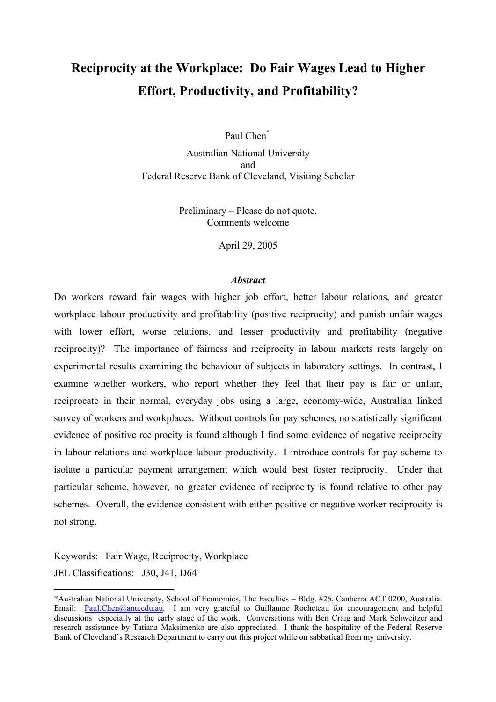# **Reciprocity at the Workplace: Do Fair Wages Lead to Higher Effort, Productivity, and Profitability?**

Paul Chen[\\*](#page-0-0)

Australian National University and Federal Reserve Bank of Cleveland, Visiting Scholar

> Preliminary – Please do not quote. Comments welcome

> > April 29, 2005

# *Abstract*

Do workers reward fair wages with higher job effort, better labour relations, and greater workplace labour productivity and profitability (positive reciprocity) and punish unfair wages with lower effort, worse relations, and lesser productivity and profitability (negative reciprocity)? The importance of fairness and reciprocity in labour markets rests largely on experimental results examining the behaviour of subjects in laboratory settings. In contrast, I examine whether workers, who report whether they feel that their pay is fair or unfair, reciprocate in their normal, everyday jobs using a large, economy-wide, Australian linked survey of workers and workplaces. Without controls for pay schemes, no statistically significant evidence of positive reciprocity is found although I find some evidence of negative reciprocity in labour relations and workplace labour productivity. I introduce controls for pay scheme to isolate a particular payment arrangement which would best foster reciprocity. Under that particular scheme, however, no greater evidence of reciprocity is found relative to other pay schemes. Overall, the evidence consistent with either positive or negative worker reciprocity is not strong.

Keywords: Fair Wage, Reciprocity, Workplace

JEL Classifications: J30, J41, D64

 $\overline{a}$ 

<span id="page-0-0"></span><sup>\*</sup>Australian National University, School of Economics, The Faculties – Bldg. #26, Canberra ACT 0200, Australia. Email: [Paul.Chen@anu.edu.au](mailto:Paul.Chen@anu.edu.au). I am very grateful to Guillaume Rocheteau for encouragement and helpful discussions especially at the early stage of the work. Conversations with Ben Craig and Mark Schweitzer and research assistance by Tatiana Maksimenko are also appreciated. I thank the hospitality of the Federal Reserve Bank of Cleveland's Research Department to carry out this project while on sabbatical from my university.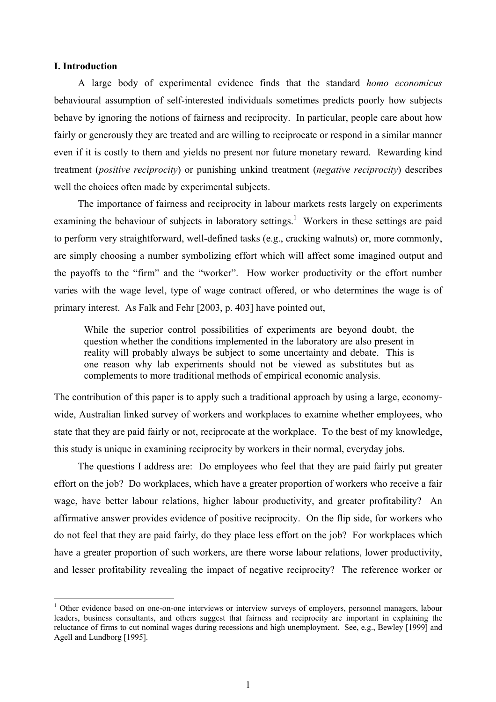## **I. Introduction**

 $\overline{a}$ 

A large body of experimental evidence finds that the standard *homo economicus* behavioural assumption of self-interested individuals sometimes predicts poorly how subjects behave by ignoring the notions of fairness and reciprocity. In particular, people care about how fairly or generously they are treated and are willing to reciprocate or respond in a similar manner even if it is costly to them and yields no present nor future monetary reward. Rewarding kind treatment (*positive reciprocity*) or punishing unkind treatment (*negative reciprocity*) describes well the choices often made by experimental subjects.

The importance of fairness and reciprocity in labour markets rests largely on experiments examining the behaviour of subjects in laboratory settings.<sup>1</sup> Workers in these settings are paid to perform very straightforward, well-defined tasks (e.g., cracking walnuts) or, more commonly, are simply choosing a number symbolizing effort which will affect some imagined output and the payoffs to the "firm" and the "worker". How worker productivity or the effort number varies with the wage level, type of wage contract offered, or who determines the wage is of primary interest. As Falk and Fehr [2003, p. 403] have pointed out,

While the superior control possibilities of experiments are beyond doubt, the question whether the conditions implemented in the laboratory are also present in reality will probably always be subject to some uncertainty and debate. This is one reason why lab experiments should not be viewed as substitutes but as complements to more traditional methods of empirical economic analysis.

The contribution of this paper is to apply such a traditional approach by using a large, economywide, Australian linked survey of workers and workplaces to examine whether employees, who state that they are paid fairly or not, reciprocate at the workplace. To the best of my knowledge, this study is unique in examining reciprocity by workers in their normal, everyday jobs.

The questions I address are: Do employees who feel that they are paid fairly put greater effort on the job? Do workplaces, which have a greater proportion of workers who receive a fair wage, have better labour relations, higher labour productivity, and greater profitability? An affirmative answer provides evidence of positive reciprocity. On the flip side, for workers who do not feel that they are paid fairly, do they place less effort on the job? For workplaces which have a greater proportion of such workers, are there worse labour relations, lower productivity, and lesser profitability revealing the impact of negative reciprocity? The reference worker or

<span id="page-1-0"></span><sup>&</sup>lt;sup>1</sup> Other evidence based on one-on-one interviews or interview surveys of employers, personnel managers, labour leaders, business consultants, and others suggest that fairness and reciprocity are important in explaining the reluctance of firms to cut nominal wages during recessions and high unemployment. See, e.g., Bewley [1999] and Agell and Lundborg [1995].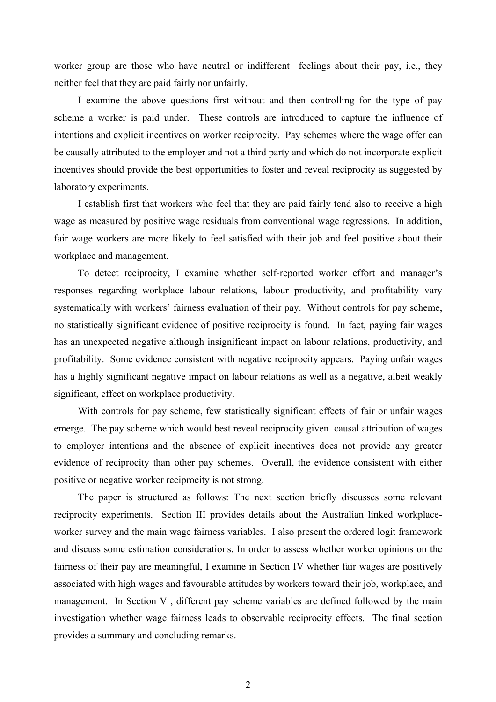worker group are those who have neutral or indifferent feelings about their pay, i.e., they neither feel that they are paid fairly nor unfairly.

I examine the above questions first without and then controlling for the type of pay scheme a worker is paid under. These controls are introduced to capture the influence of intentions and explicit incentives on worker reciprocity. Pay schemes where the wage offer can be causally attributed to the employer and not a third party and which do not incorporate explicit incentives should provide the best opportunities to foster and reveal reciprocity as suggested by laboratory experiments.

I establish first that workers who feel that they are paid fairly tend also to receive a high wage as measured by positive wage residuals from conventional wage regressions. In addition, fair wage workers are more likely to feel satisfied with their job and feel positive about their workplace and management.

To detect reciprocity, I examine whether self-reported worker effort and manager's responses regarding workplace labour relations, labour productivity, and profitability vary systematically with workers' fairness evaluation of their pay. Without controls for pay scheme, no statistically significant evidence of positive reciprocity is found. In fact, paying fair wages has an unexpected negative although insignificant impact on labour relations, productivity, and profitability. Some evidence consistent with negative reciprocity appears. Paying unfair wages has a highly significant negative impact on labour relations as well as a negative, albeit weakly significant, effect on workplace productivity.

With controls for pay scheme, few statistically significant effects of fair or unfair wages emerge. The pay scheme which would best reveal reciprocity given causal attribution of wages to employer intentions and the absence of explicit incentives does not provide any greater evidence of reciprocity than other pay schemes. Overall, the evidence consistent with either positive or negative worker reciprocity is not strong.

The paper is structured as follows: The next section briefly discusses some relevant reciprocity experiments. Section III provides details about the Australian linked workplaceworker survey and the main wage fairness variables. I also present the ordered logit framework and discuss some estimation considerations. In order to assess whether worker opinions on the fairness of their pay are meaningful, I examine in Section IV whether fair wages are positively associated with high wages and favourable attitudes by workers toward their job, workplace, and management. In Section V , different pay scheme variables are defined followed by the main investigation whether wage fairness leads to observable reciprocity effects. The final section provides a summary and concluding remarks.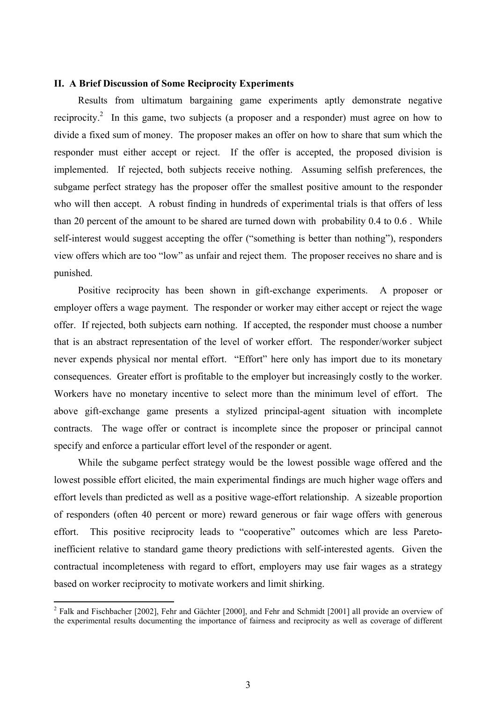### **II. A Brief Discussion of Some Reciprocity Experiments**

Results from ultimatum bargaining game experiments aptly demonstrate negative reciprocity.<sup>[2](#page-3-0)</sup> In this game, two subjects (a proposer and a responder) must agree on how to divide a fixed sum of money. The proposer makes an offer on how to share that sum which the responder must either accept or reject. If the offer is accepted, the proposed division is implemented. If rejected, both subjects receive nothing. Assuming selfish preferences, the subgame perfect strategy has the proposer offer the smallest positive amount to the responder who will then accept. A robust finding in hundreds of experimental trials is that offers of less than 20 percent of the amount to be shared are turned down with probability 0.4 to 0.6 . While self-interest would suggest accepting the offer ("something is better than nothing"), responders view offers which are too "low" as unfair and reject them. The proposer receives no share and is punished.

Positive reciprocity has been shown in gift-exchange experiments. A proposer or employer offers a wage payment. The responder or worker may either accept or reject the wage offer. If rejected, both subjects earn nothing. If accepted, the responder must choose a number that is an abstract representation of the level of worker effort. The responder/worker subject never expends physical nor mental effort. "Effort" here only has import due to its monetary consequences. Greater effort is profitable to the employer but increasingly costly to the worker. Workers have no monetary incentive to select more than the minimum level of effort. The above gift-exchange game presents a stylized principal-agent situation with incomplete contracts. The wage offer or contract is incomplete since the proposer or principal cannot specify and enforce a particular effort level of the responder or agent.

While the subgame perfect strategy would be the lowest possible wage offered and the lowest possible effort elicited, the main experimental findings are much higher wage offers and effort levels than predicted as well as a positive wage-effort relationship. A sizeable proportion of responders (often 40 percent or more) reward generous or fair wage offers with generous effort. This positive reciprocity leads to "cooperative" outcomes which are less Paretoinefficient relative to standard game theory predictions with self-interested agents. Given the contractual incompleteness with regard to effort, employers may use fair wages as a strategy based on worker reciprocity to motivate workers and limit shirking.

 $\overline{a}$ 

<span id="page-3-0"></span><sup>&</sup>lt;sup>2</sup> Falk and Fischbacher [2002], Fehr and Gächter [2000], and Fehr and Schmidt [2001] all provide an overview of the experimental results documenting the importance of fairness and reciprocity as well as coverage of different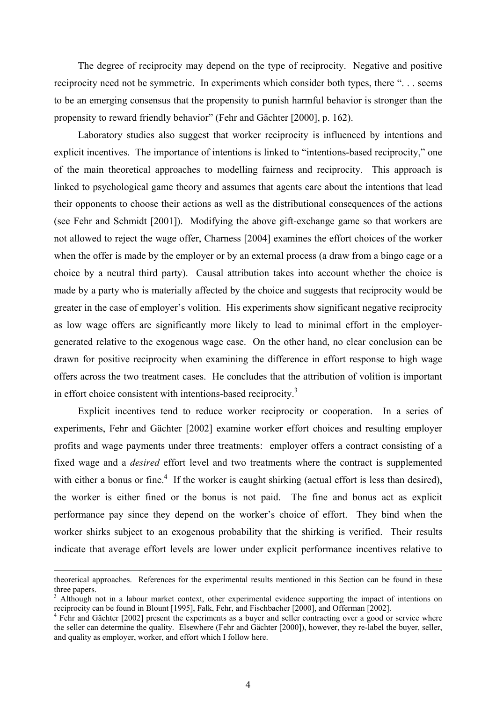The degree of reciprocity may depend on the type of reciprocity. Negative and positive reciprocity need not be symmetric. In experiments which consider both types, there ". . . seems to be an emerging consensus that the propensity to punish harmful behavior is stronger than the propensity to reward friendly behavior" (Fehr and Gächter [2000], p. 162).

Laboratory studies also suggest that worker reciprocity is influenced by intentions and explicit incentives. The importance of intentions is linked to "intentions-based reciprocity," one of the main theoretical approaches to modelling fairness and reciprocity. This approach is linked to psychological game theory and assumes that agents care about the intentions that lead their opponents to choose their actions as well as the distributional consequences of the actions (see Fehr and Schmidt [2001]). Modifying the above gift-exchange game so that workers are not allowed to reject the wage offer, Charness [2004] examines the effort choices of the worker when the offer is made by the employer or by an external process (a draw from a bingo cage or a choice by a neutral third party). Causal attribution takes into account whether the choice is made by a party who is materially affected by the choice and suggests that reciprocity would be greater in the case of employer's volition. His experiments show significant negative reciprocity as low wage offers are significantly more likely to lead to minimal effort in the employergenerated relative to the exogenous wage case. On the other hand, no clear conclusion can be drawn for positive reciprocity when examining the difference in effort response to high wage offers across the two treatment cases. He concludes that the attribution of volition is important in effort choice consistent with intentions-based reciprocity.<sup>3</sup>

Explicit incentives tend to reduce worker reciprocity or cooperation. In a series of experiments, Fehr and Gächter [2002] examine worker effort choices and resulting employer profits and wage payments under three treatments: employer offers a contract consisting of a fixed wage and a *desired* effort level and two treatments where the contract is supplemented with either a bonus or fine.<sup>[4](#page-4-1)</sup> If the worker is caught shirking (actual effort is less than desired), the worker is either fined or the bonus is not paid. The fine and bonus act as explicit performance pay since they depend on the worker's choice of effort. They bind when the worker shirks subject to an exogenous probability that the shirking is verified. Their results indicate that average effort levels are lower under explicit performance incentives relative to

theoretical approaches. References for the experimental results mentioned in this Section can be found in these three papers.

<span id="page-4-0"></span> $3$  Although not in a labour market context, other experimental evidence supporting the impact of intentions on reciprocity can be found in Blount [1995], Falk, Fehr, and Fischbacher [2000], and Offerman [2002]. 4

<span id="page-4-1"></span><sup>&</sup>lt;sup>4</sup> Fehr and Gächter [2002] present the experiments as a buyer and seller contracting over a good or service where the seller can determine the quality. Elsewhere (Fehr and Gächter [2000]), however, they re-label the buyer, seller, and quality as employer, worker, and effort which I follow here.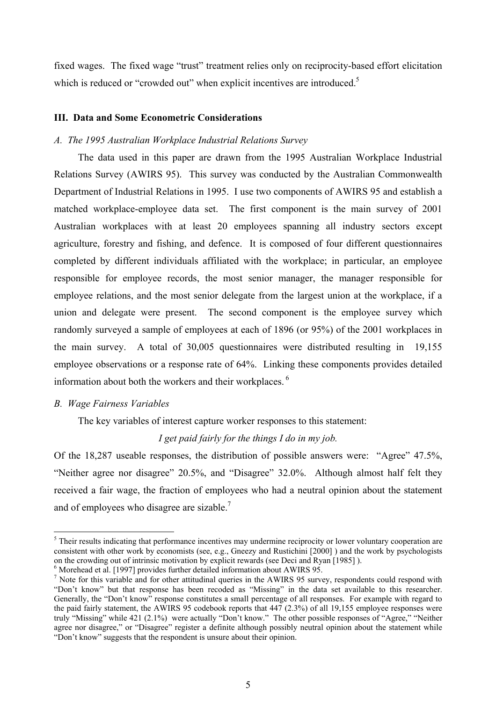fixed wages. The fixed wage "trust" treatment relies only on reciprocity-based effort elicitation which is reduced or "crowded out" when explicit incentives are introduced.<sup>[5](#page-5-0)</sup>

## **III. Data and Some Econometric Considerations**

### *A. The 1995 Australian Workplace Industrial Relations Survey*

The data used in this paper are drawn from the 1995 Australian Workplace Industrial Relations Survey (AWIRS 95). This survey was conducted by the Australian Commonwealth Department of Industrial Relations in 1995. I use two components of AWIRS 95 and establish a matched workplace-employee data set. The first component is the main survey of 2001 Australian workplaces with at least 20 employees spanning all industry sectors except agriculture, forestry and fishing, and defence. It is composed of four different questionnaires completed by different individuals affiliated with the workplace; in particular, an employee responsible for employee records, the most senior manager, the manager responsible for employee relations, and the most senior delegate from the largest union at the workplace, if a union and delegate were present. The second component is the employee survey which randomly surveyed a sample of employees at each of 1896 (or 95%) of the 2001 workplaces in the main survey. A total of 30,005 questionnaires were distributed resulting in 19,155 employee observations or a response rate of 64%. Linking these components provides detailed information about both the workers and their workplaces. [6](#page-5-1) 

#### *B. Wage Fairness Variables*

 $\overline{a}$ 

The key variables of interest capture worker responses to this statement:

# *I get paid fairly for the things I do in my job.*

Of the 18,287 useable responses, the distribution of possible answers were: "Agree" 47.5%, "Neither agree nor disagree" 20.5%, and "Disagree" 32.0%. Although almost half felt they received a fair wage, the fraction of employees who had a neutral opinion about the statement and of employees who disagree are sizable.<sup>7</sup>

<span id="page-5-0"></span><sup>&</sup>lt;sup>5</sup> Their results indicating that performance incentives may undermine reciprocity or lower voluntary cooperation are consistent with other work by economists (see, e.g., Gneezy and Rustichini [2000] ) and the work by psychologists on the crowding out of intrinsic motivation by explicit rewards (see Deci and Ryan [1985] ). 6

<span id="page-5-1"></span> $6$  Morehead et al. [1997] provides further detailed information about AWIRS 95.

<span id="page-5-2"></span><sup>&</sup>lt;sup>7</sup> Note for this variable and for other attitudinal queries in the AWIRS 95 survey, respondents could respond with "Don't know" but that response has been recoded as "Missing" in the data set available to this researcher. Generally, the "Don't know" response constitutes a small percentage of all responses. For example with regard to the paid fairly statement, the AWIRS 95 codebook reports that 447 (2.3%) of all 19,155 employee responses were truly "Missing" while 421 (2.1%) were actually "Don't know." The other possible responses of "Agree," "Neither agree nor disagree," or "Disagree" register a definite although possibly neutral opinion about the statement while "Don't know" suggests that the respondent is unsure about their opinion.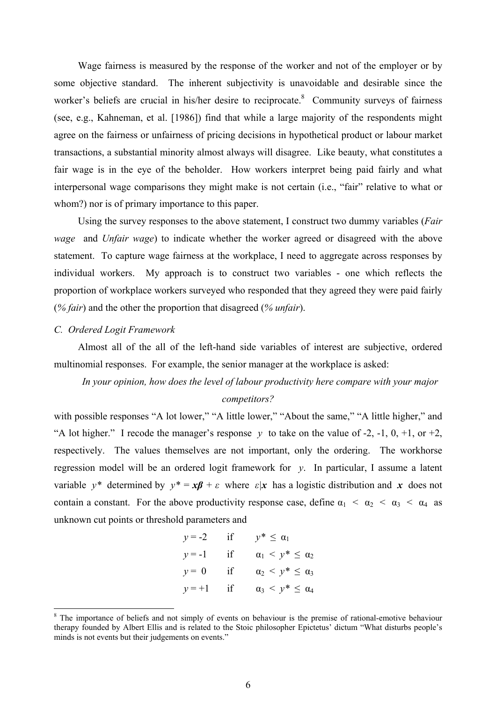Wage fairness is measured by the response of the worker and not of the employer or by some objective standard. The inherent subjectivity is unavoidable and desirable since the worker's beliefs are crucial in his/her desire to reciprocate.<sup>8</sup> Community surveys of fairness (see, e.g., Kahneman, et al. [1986]) find that while a large majority of the respondents might agree on the fairness or unfairness of pricing decisions in hypothetical product or labour market transactions, a substantial minority almost always will disagree. Like beauty, what constitutes a fair wage is in the eye of the beholder. How workers interpret being paid fairly and what interpersonal wage comparisons they might make is not certain (i.e., "fair" relative to what or whom?) nor is of primary importance to this paper.

Using the survey responses to the above statement, I construct two dummy variables (*Fair wage* and *Unfair wage*) to indicate whether the worker agreed or disagreed with the above statement. To capture wage fairness at the workplace, I need to aggregate across responses by individual workers. My approach is to construct two variables - one which reflects the proportion of workplace workers surveyed who responded that they agreed they were paid fairly (*% fair*) and the other the proportion that disagreed (*% unfair*).

#### *C. Ordered Logit Framework*

 $\overline{a}$ 

Almost all of the all of the left-hand side variables of interest are subjective, ordered multinomial responses. For example, the senior manager at the workplace is asked:

# *In your opinion, how does the level of labour productivity here compare with your major competitors?*

with possible responses "A lot lower," "A little lower," "About the same," "A little higher," and "A lot higher." I recode the manager's response  $y$  to take on the value of -2, -1, 0, +1, or +2, respectively. The values themselves are not important, only the ordering. The workhorse regression model will be an ordered logit framework for *y*. In particular, I assume a latent variable  $y^*$  determined by  $y^* = x\beta + \varepsilon$  where  $\varepsilon |x|$  has a logistic distribution and x does not contain a constant. For the above productivity response case, define  $\alpha_1 < \alpha_2 < \alpha_3 < \alpha_4$  as unknown cut points or threshold parameters and

| $y = -2$ | ıf | $y^* \leq \alpha_1$               |
|----------|----|-----------------------------------|
| $y = -1$ | if | $\alpha_1 \leq y^* \leq \alpha_2$ |
| $y = 0$  | if | $\alpha_2 \leq y^* \leq \alpha_3$ |
| $y = +1$ | if | $\alpha_3 \leq y^* \leq \alpha_4$ |

<span id="page-6-0"></span><sup>&</sup>lt;sup>8</sup> The importance of beliefs and not simply of events on behaviour is the premise of rational-emotive behaviour therapy founded by Albert Ellis and is related to the Stoic philosopher Epictetus' dictum "What disturbs people's minds is not events but their judgements on events."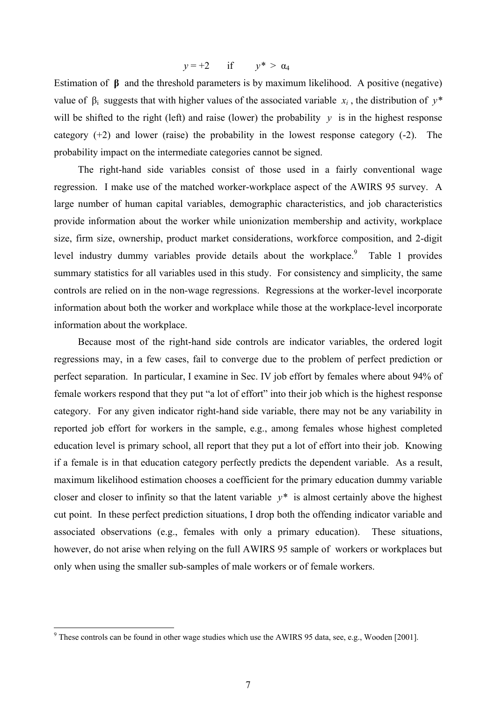$$
y = +2 \qquad \text{if} \qquad y^* > \alpha_4
$$

Estimation of **β** and the threshold parameters is by maximum likelihood. A positive (negative) value of  $β<sub>i</sub>$  suggests that with higher values of the associated variable  $x<sub>i</sub>$ , the distribution of  $y*$ will be shifted to the right (left) and raise (lower) the probability  $y$  is in the highest response category  $(+2)$  and lower (raise) the probability in the lowest response category  $(-2)$ . The probability impact on the intermediate categories cannot be signed.

The right-hand side variables consist of those used in a fairly conventional wage regression. I make use of the matched worker-workplace aspect of the AWIRS 95 survey. A large number of human capital variables, demographic characteristics, and job characteristics provide information about the worker while unionization membership and activity, workplace size, firm size, ownership, product market considerations, workforce composition, and 2-digit level industry dummy variables provide details about the workplace.<sup>9</sup> Table 1 provides summary statistics for all variables used in this study. For consistency and simplicity, the same controls are relied on in the non-wage regressions. Regressions at the worker-level incorporate information about both the worker and workplace while those at the workplace-level incorporate information about the workplace.

Because most of the right-hand side controls are indicator variables, the ordered logit regressions may, in a few cases, fail to converge due to the problem of perfect prediction or perfect separation. In particular, I examine in Sec. IV job effort by females where about 94% of female workers respond that they put "a lot of effort" into their job which is the highest response category. For any given indicator right-hand side variable, there may not be any variability in reported job effort for workers in the sample, e.g., among females whose highest completed education level is primary school, all report that they put a lot of effort into their job. Knowing if a female is in that education category perfectly predicts the dependent variable. As a result, maximum likelihood estimation chooses a coefficient for the primary education dummy variable closer and closer to infinity so that the latent variable  $v^*$  is almost certainly above the highest cut point. In these perfect prediction situations, I drop both the offending indicator variable and associated observations (e.g., females with only a primary education). These situations, however, do not arise when relying on the full AWIRS 95 sample of workers or workplaces but only when using the smaller sub-samples of male workers or of female workers.

<span id="page-7-0"></span><sup>&</sup>lt;sup>9</sup> These controls can be found in other wage studies which use the AWIRS 95 data, see, e.g., Wooden [2001].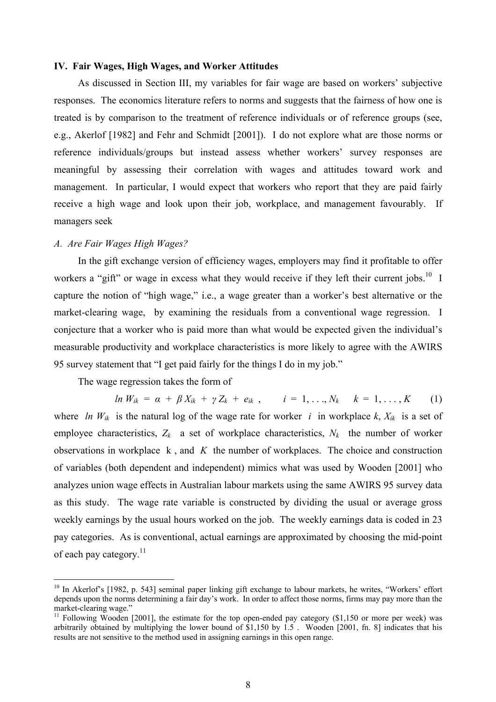### **IV. Fair Wages, High Wages, and Worker Attitudes**

As discussed in Section III, my variables for fair wage are based on workers' subjective responses. The economics literature refers to norms and suggests that the fairness of how one is treated is by comparison to the treatment of reference individuals or of reference groups (see, e.g., Akerlof [1982] and Fehr and Schmidt [2001]). I do not explore what are those norms or reference individuals/groups but instead assess whether workers' survey responses are meaningful by assessing their correlation with wages and attitudes toward work and management. In particular, I would expect that workers who report that they are paid fairly receive a high wage and look upon their job, workplace, and management favourably. If managers seek

### *A. Are Fair Wages High Wages?*

 $\overline{a}$ 

In the gift exchange version of efficiency wages, employers may find it profitable to offer workers a "gift" or wage in excess what they would receive if they left their current jobs.<sup>10</sup> I capture the notion of "high wage," i.e., a wage greater than a worker's best alternative or the market-clearing wage, by examining the residuals from a conventional wage regression. I conjecture that a worker who is paid more than what would be expected given the individual's measurable productivity and workplace characteristics is more likely to agree with the AWIRS 95 survey statement that "I get paid fairly for the things I do in my job."

The wage regression takes the form of

*ln*  $W_{ik} = \alpha + \beta X_{ik} + \gamma Z_k + e_{ik}$ ,  $i = 1, ..., N_k$   $k = 1, ..., K$  (1) where *ln W<sub>ik</sub>* is the natural log of the wage rate for worker *i* in workplace *k*,  $X_{ik}$  is a set of employee characteristics,  $Z_k$  a set of workplace characteristics,  $N_k$  the number of worker observations in workplace k , and *K* the number of workplaces. The choice and construction of variables (both dependent and independent) mimics what was used by Wooden [2001] who analyzes union wage effects in Australian labour markets using the same AWIRS 95 survey data as this study. The wage rate variable is constructed by dividing the usual or average gross weekly earnings by the usual hours worked on the job. The weekly earnings data is coded in 23 pay categories. As is conventional, actual earnings are approximated by choosing the mid-point of each pay category.<sup>[11](#page-8-1)</sup>

<span id="page-8-0"></span><sup>&</sup>lt;sup>10</sup> In Akerlof's [1982, p. 543] seminal paper linking gift exchange to labour markets, he writes, "Workers' effort depends upon the norms determining a fair day's work. In order to affect those norms, firms may pay more than the market-clearing wage."<br><sup>11</sup> Following Wooden [2001], the estimate for the top open-ended pay category (\$1,150 or more per week) was

<span id="page-8-1"></span>arbitrarily obtained by multiplying the lower bound of \$1,150 by 1.5 . Wooden [2001, fn. 8] indicates that his results are not sensitive to the method used in assigning earnings in this open range.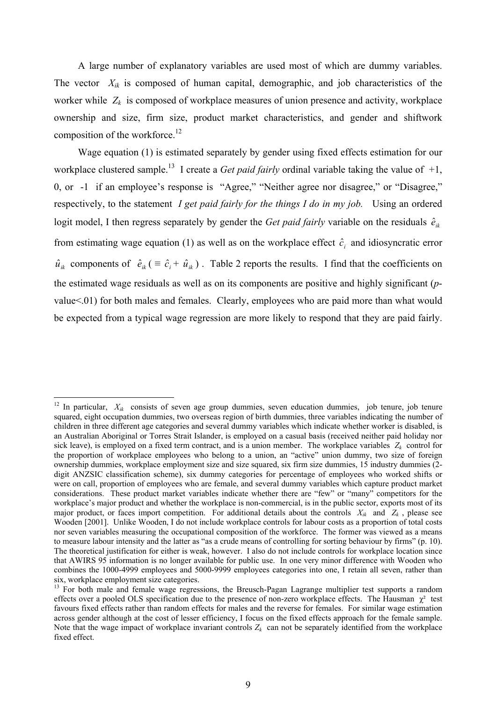A large number of explanatory variables are used most of which are dummy variables. The vector  $X_{ik}$  is composed of human capital, demographic, and job characteristics of the worker while  $Z_k$  is composed of workplace measures of union presence and activity, workplace ownership and size, firm size, product market characteristics, and gender and shiftwork composition of the workforce.<sup>12</sup>

Wage equation (1) is estimated separately by gender using fixed effects estimation for our workplace clustered sample.<sup>13</sup> I create a *Get paid fairly* ordinal variable taking the value of +1, 0, or -1 if an employee's response is "Agree," "Neither agree nor disagree," or "Disagree," respectively, to the statement *I get paid fairly for the things I do in my job.* Using an ordered logit model, I then regress separately by gender the *Get paid fairly* variable on the residuals  $\hat{e}_{ik}$ from estimating wage equation (1) as well as on the workplace effect  $\hat{c}_i$  and idiosyncratic error  $\hat{u}_{ik}$  components of  $\hat{e}_{ik}$  ( $\equiv \hat{c}_i + \hat{u}_{ik}$ ). Table 2 reports the results. I find that the coefficients on the estimated wage residuals as well as on its components are positive and highly significant (*p*value<.01) for both males and females. Clearly, employees who are paid more than what would be expected from a typical wage regression are more likely to respond that they are paid fairly.

 $\overline{a}$ 

<span id="page-9-0"></span><sup>&</sup>lt;sup>12</sup> In particular,  $X_{ik}$  consists of seven age group dummies, seven education dummies, job tenure, job tenure squared, eight occupation dummies, two overseas region of birth dummies, three variables indicating the number of children in three different age categories and several dummy variables which indicate whether worker is disabled, is an Australian Aboriginal or Torres Strait Islander, is employed on a casual basis (received neither paid holiday nor sick leave), is employed on a fixed term contract, and is a union member. The workplace variables  $Z_k$  control for the proportion of workplace employees who belong to a union, an "active" union dummy, two size of foreign ownership dummies, workplace employment size and size squared, six firm size dummies, 15 industry dummies (2 digit ANZSIC classification scheme), six dummy categories for percentage of employees who worked shifts or were on call, proportion of employees who are female, and several dummy variables which capture product market considerations. These product market variables indicate whether there are "few" or "many" competitors for the workplace's major product and whether the workplace is non-commercial, is in the public sector, exports most of its major product, or faces import competition. For additional details about the controls  $X_{ik}$  and  $Z_k$ , please see Wooden [2001]. Unlike Wooden, I do not include workplace controls for labour costs as a proportion of total costs nor seven variables measuring the occupational composition of the workforce. The former was viewed as a means to measure labour intensity and the latter as "as a crude means of controlling for sorting behaviour by firms" (p. 10). The theoretical justification for either is weak, however. I also do not include controls for workplace location since that AWIRS 95 information is no longer available for public use. In one very minor difference with Wooden who combines the 1000-4999 employees and 5000-9999 employees categories into one, I retain all seven, rather than six, workplace employment size categories.<br><sup>13</sup> For both male and female wage regressions, the Breusch-Pagan Lagrange multiplier test supports a random

<span id="page-9-1"></span>effects over a pooled OLS specification due to the presence of non-zero workplace effects. The Hausman  $\gamma^2$  test favours fixed effects rather than random effects for males and the reverse for females. For similar wage estimation across gender although at the cost of lesser efficiency, I focus on the fixed effects approach for the female sample. Note that the wage impact of workplace invariant controls  $Z_k$  can not be separately identified from the workplace fixed effect.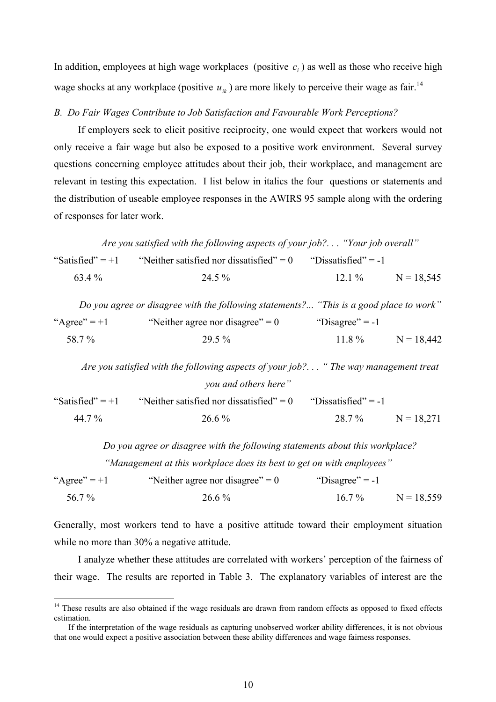In addition, employees at high wage workplaces (positive  $c_i$ ) as well as those who receive high wage shocks at any workplace (positive  $u_{ik}$ ) are more likely to perceive their wage as fair.<sup>[14](#page-10-0)</sup>

### *B. Do Fair Wages Contribute to Job Satisfaction and Favourable Work Perceptions?*

If employers seek to elicit positive reciprocity, one would expect that workers would not only receive a fair wage but also be exposed to a positive work environment. Several survey questions concerning employee attitudes about their job, their workplace, and management are relevant in testing this expectation. I list below in italics the four questions or statements and the distribution of useable employee responses in the AWIRS 95 sample along with the ordering of responses for later work.

*Are you satisfied with the following aspects of your job?. . . "Your job overall"*  "Satisfied" = +1 "Neither satisfied nor dissatisfied" = 0 "Dissatisfied" = -1 63.4 % 24.5 % 12.1 % N = 18,545 *Do you agree or disagree with the following statements?... "This is a good place to work"*  "Agree" = +1 "Neither agree nor disagree" = 0 "Disagree" = -1 58.7 % 29.5 % 11.8 % N = 18,442 *Are you satisfied with the following aspects of your job?. . . " The way management treat you and others here"*  "Satisfied" = +1 "Neither satisfied nor dissatisfied" = 0 "Dissatisfied" = -1 44.7 % 26.6 % 28.7 % N = 18,271

*Do you agree or disagree with the following statements about this workplace? "Management at this workplace does its best to get on with employees"* 

"Agree"  $= +1$  "Neither agree nor disagree"  $= 0$  "Disagree"  $= -1$  $56.7 \%$  26.6% 16.7% N = 18.559

Generally, most workers tend to have a positive attitude toward their employment situation while no more than 30% a negative attitude.

I analyze whether these attitudes are correlated with workers' perception of the fairness of their wage. The results are reported in Table 3. The explanatory variables of interest are the

 $\overline{a}$ 

<span id="page-10-0"></span><sup>&</sup>lt;sup>14</sup> These results are also obtained if the wage residuals are drawn from random effects as opposed to fixed effects estimation.

If the interpretation of the wage residuals as capturing unobserved worker ability differences, it is not obvious that one would expect a positive association between these ability differences and wage fairness responses.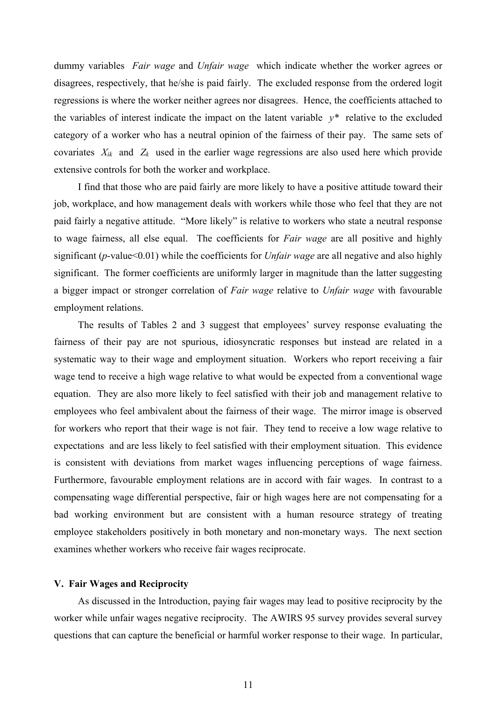dummy variables *Fair wage* and *Unfair wage* which indicate whether the worker agrees or disagrees, respectively, that he/she is paid fairly. The excluded response from the ordered logit regressions is where the worker neither agrees nor disagrees. Hence, the coefficients attached to the variables of interest indicate the impact on the latent variable *y\** relative to the excluded category of a worker who has a neutral opinion of the fairness of their pay. The same sets of covariates  $X_{ik}$  and  $Z_k$  used in the earlier wage regressions are also used here which provide extensive controls for both the worker and workplace.

I find that those who are paid fairly are more likely to have a positive attitude toward their job, workplace, and how management deals with workers while those who feel that they are not paid fairly a negative attitude. "More likely" is relative to workers who state a neutral response to wage fairness, all else equal. The coefficients for *Fair wage* are all positive and highly significant (*p*-value<0.01) while the coefficients for *Unfair wage* are all negative and also highly significant. The former coefficients are uniformly larger in magnitude than the latter suggesting a bigger impact or stronger correlation of *Fair wage* relative to *Unfair wage* with favourable employment relations.

The results of Tables 2 and 3 suggest that employees' survey response evaluating the fairness of their pay are not spurious, idiosyncratic responses but instead are related in a systematic way to their wage and employment situation. Workers who report receiving a fair wage tend to receive a high wage relative to what would be expected from a conventional wage equation. They are also more likely to feel satisfied with their job and management relative to employees who feel ambivalent about the fairness of their wage. The mirror image is observed for workers who report that their wage is not fair. They tend to receive a low wage relative to expectations and are less likely to feel satisfied with their employment situation. This evidence is consistent with deviations from market wages influencing perceptions of wage fairness. Furthermore, favourable employment relations are in accord with fair wages. In contrast to a compensating wage differential perspective, fair or high wages here are not compensating for a bad working environment but are consistent with a human resource strategy of treating employee stakeholders positively in both monetary and non-monetary ways. The next section examines whether workers who receive fair wages reciprocate.

### **V. Fair Wages and Reciprocity**

As discussed in the Introduction, paying fair wages may lead to positive reciprocity by the worker while unfair wages negative reciprocity. The AWIRS 95 survey provides several survey questions that can capture the beneficial or harmful worker response to their wage. In particular,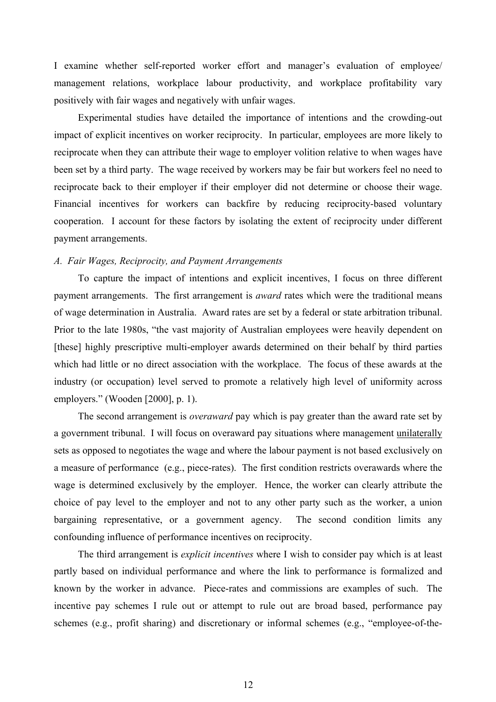I examine whether self-reported worker effort and manager's evaluation of employee/ management relations, workplace labour productivity, and workplace profitability vary positively with fair wages and negatively with unfair wages.

Experimental studies have detailed the importance of intentions and the crowding-out impact of explicit incentives on worker reciprocity. In particular, employees are more likely to reciprocate when they can attribute their wage to employer volition relative to when wages have been set by a third party. The wage received by workers may be fair but workers feel no need to reciprocate back to their employer if their employer did not determine or choose their wage. Financial incentives for workers can backfire by reducing reciprocity-based voluntary cooperation. I account for these factors by isolating the extent of reciprocity under different payment arrangements.

# *A. Fair Wages, Reciprocity, and Payment Arrangements*

To capture the impact of intentions and explicit incentives, I focus on three different payment arrangements. The first arrangement is *award* rates which were the traditional means of wage determination in Australia. Award rates are set by a federal or state arbitration tribunal. Prior to the late 1980s, "the vast majority of Australian employees were heavily dependent on [these] highly prescriptive multi-employer awards determined on their behalf by third parties which had little or no direct association with the workplace. The focus of these awards at the industry (or occupation) level served to promote a relatively high level of uniformity across employers." (Wooden [2000], p. 1).

The second arrangement is *overaward* pay which is pay greater than the award rate set by a government tribunal. I will focus on overaward pay situations where management unilaterally sets as opposed to negotiates the wage and where the labour payment is not based exclusively on a measure of performance (e.g., piece-rates). The first condition restricts overawards where the wage is determined exclusively by the employer. Hence, the worker can clearly attribute the choice of pay level to the employer and not to any other party such as the worker, a union bargaining representative, or a government agency. The second condition limits any confounding influence of performance incentives on reciprocity.

The third arrangement is *explicit incentives* where I wish to consider pay which is at least partly based on individual performance and where the link to performance is formalized and known by the worker in advance. Piece-rates and commissions are examples of such. The incentive pay schemes I rule out or attempt to rule out are broad based, performance pay schemes (e.g., profit sharing) and discretionary or informal schemes (e.g., "employee-of-the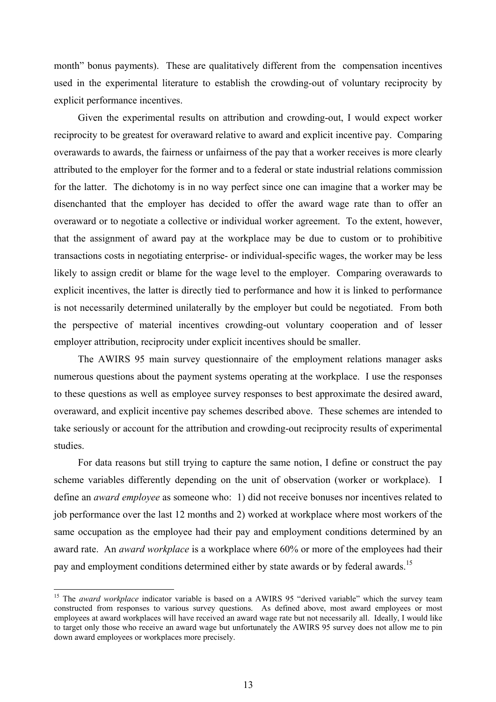month" bonus payments). These are qualitatively different from the compensation incentives used in the experimental literature to establish the crowding-out of voluntary reciprocity by explicit performance incentives.

Given the experimental results on attribution and crowding-out, I would expect worker reciprocity to be greatest for overaward relative to award and explicit incentive pay. Comparing overawards to awards, the fairness or unfairness of the pay that a worker receives is more clearly attributed to the employer for the former and to a federal or state industrial relations commission for the latter. The dichotomy is in no way perfect since one can imagine that a worker may be disenchanted that the employer has decided to offer the award wage rate than to offer an overaward or to negotiate a collective or individual worker agreement. To the extent, however, that the assignment of award pay at the workplace may be due to custom or to prohibitive transactions costs in negotiating enterprise- or individual-specific wages, the worker may be less likely to assign credit or blame for the wage level to the employer. Comparing overawards to explicit incentives, the latter is directly tied to performance and how it is linked to performance is not necessarily determined unilaterally by the employer but could be negotiated. From both the perspective of material incentives crowding-out voluntary cooperation and of lesser employer attribution, reciprocity under explicit incentives should be smaller.

The AWIRS 95 main survey questionnaire of the employment relations manager asks numerous questions about the payment systems operating at the workplace. I use the responses to these questions as well as employee survey responses to best approximate the desired award, overaward, and explicit incentive pay schemes described above. These schemes are intended to take seriously or account for the attribution and crowding-out reciprocity results of experimental studies.

For data reasons but still trying to capture the same notion, I define or construct the pay scheme variables differently depending on the unit of observation (worker or workplace). I define an *award employee* as someone who: 1) did not receive bonuses nor incentives related to job performance over the last 12 months and 2) worked at workplace where most workers of the same occupation as the employee had their pay and employment conditions determined by an award rate. An *award workplace* is a workplace where 60% or more of the employees had their pay and employment conditions determined either by state awards or by federal awards.<sup>[15](#page-13-0)</sup>

 $\overline{a}$ 

<span id="page-13-0"></span><sup>&</sup>lt;sup>15</sup> The *award workplace* indicator variable is based on a AWIRS 95 "derived variable" which the survey team constructed from responses to various survey questions. As defined above, most award employees or most employees at award workplaces will have received an award wage rate but not necessarily all. Ideally, I would like to target only those who receive an award wage but unfortunately the AWIRS 95 survey does not allow me to pin down award employees or workplaces more precisely.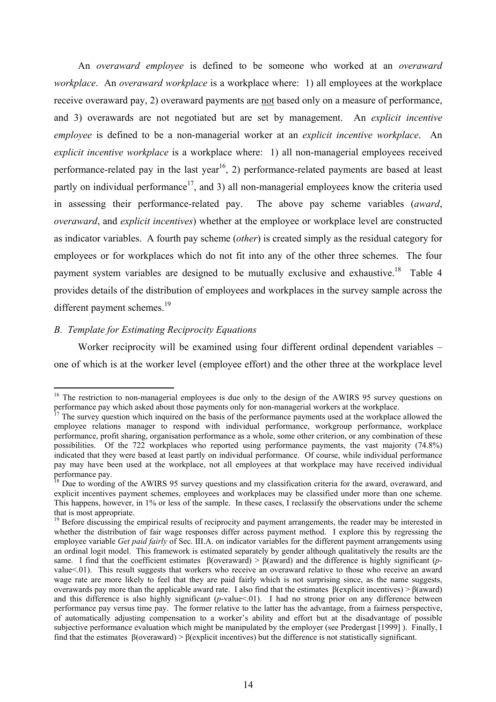An *overaward employee* is defined to be someone who worked at an *overaward workplace*. An *overaward workplace* is a workplace where: 1) all employees at the workplace receive overaward pay, 2) overaward payments are not based only on a measure of performance, and 3) overawards are not negotiated but are set by management. An *explicit incentive employee* is defined to be a non-managerial worker at an *explicit incentive workplace*. An *explicit incentive workplace* is a workplace where: 1) all non-managerial employees received performance-related pay in the last year<sup>16</sup>, 2) performance-related payments are based at least partly on individual performance<sup>17</sup>, and 3) all non-managerial employees know the criteria used in assessing their performance-related pay. The above pay scheme variables (*award*, *overaward*, and *explicit incentives*) whether at the employee or workplace level are constructed as indicator variables. A fourth pay scheme (*other*) is created simply as the residual category for employees or for workplaces which do not fit into any of the other three schemes. The four payment system variables are designed to be mutually exclusive and exhaustive.<sup>18</sup> Table 4 provides details of the distribution of employees and workplaces in the survey sample across the different payment schemes.<sup>19</sup>

# *B. Template for Estimating Reciprocity Equations*

 $\overline{a}$ 

Worker reciprocity will be examined using four different ordinal dependent variables – one of which is at the worker level (employee effort) and the other three at the workplace level

<span id="page-14-0"></span><sup>&</sup>lt;sup>16</sup> The restriction to non-managerial employees is due only to the design of the AWIRS 95 survey questions on performance pay which asked about those payments only for non-managerial workers at the workplace. <sup>17</sup> The survey question which inquired on the basis of the performance payments used at the workplace allowed the

<span id="page-14-1"></span>employee relations manager to respond with individual performance, workgroup performance, workplace performance, profit sharing, organisation performance as a whole, some other criterion, or any combination of these possibilities. Of the 722 workplaces who reported using performance payments, the vast majority (74.8%) indicated that they were based at least partly on individual performance. Of course, while individual performance pay may have been used at the workplace, not all employees at that workplace may have received individual<br>performance pay.<br><sup>18</sup> Due to wording of the AWIDS 05 number and the settlement of the AWIDS 05 number of the AWIDS 0

<span id="page-14-2"></span>Due to wording of the AWIRS 95 survey questions and my classification criteria for the award, overaward, and explicit incentives payment schemes, employees and workplaces may be classified under more than one scheme. This happens, however, in 1% or less of the sample. In these cases, I reclassify the observations under the scheme that is most appropriate.<br><sup>19</sup> Before discussing the empirical results of reciprocity and payment arrangements, the reader may be interested in

<span id="page-14-3"></span>whether the distribution of fair wage responses differ across payment method. I explore this by regressing the employee variable *Get paid fairly* of Sec. III.A. on indicator variables for the different payment arrangements using an ordinal logit model. This framework is estimated separately by gender although qualitatively the results are the same. I find that the coefficient estimates β(overaward) > β(award) and the difference is highly significant (*p*value<.01). This result suggests that workers who receive an overaward relative to those who receive an award wage rate are more likely to feel that they are paid fairly which is not surprising since, as the name suggests, overawards pay more than the applicable award rate. I also find that the estimates β(explicit incentives) > β(award) and this difference is also highly significant (*p*-value < 01). I had no strong prior on any difference between performance pay versus time pay. The former relative to the latter has the advantage, from a fairness perspective, of automatically adjusting compensation to a worker's ability and effort but at the disadvantage of possible subjective performance evaluation which might be manipulated by the employer (see Predergast [1999] ). Finally, I find that the estimates β(overaward) > β(explicit incentives) but the difference is not statistically significant.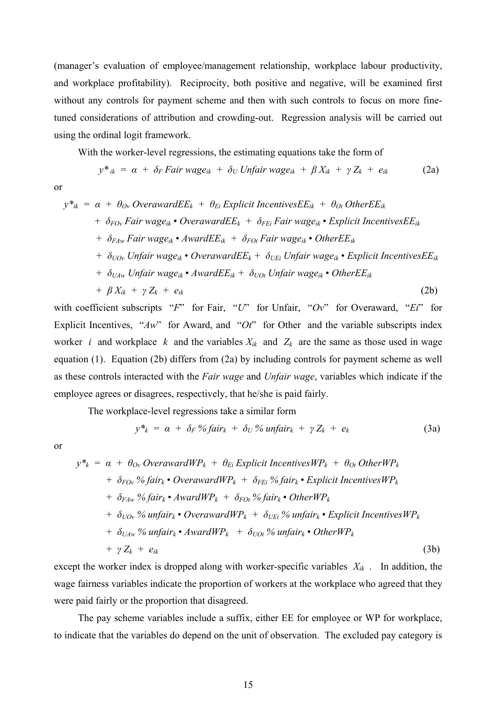(manager's evaluation of employee/management relationship, workplace labour productivity, and workplace profitability). Reciprocity, both positive and negative, will be examined first without any controls for payment scheme and then with such controls to focus on more finetuned considerations of attribution and crowding-out. Regression analysis will be carried out using the ordinal logit framework.

With the worker-level regressions, the estimating equations take the form of

$$
y^*_{ik} = \alpha + \delta_F \text{Fair wage}_{ik} + \delta_U \text{ Unfair wage}_{ik} + \beta X_{ik} + \gamma Z_k + e_{ik} \qquad (2a)
$$

or

$$
y^*_{ik} = \alpha + \theta_{0v} \text{ Overaward } E_k + \theta_{Ei} \text{ Explicit Incentives } E_k + \theta_{0t} \text{ Other } E_k
$$
  
+  $\delta_{FOv} \text{ Fair wage}_{ik} \cdot \text{Overaward } E_k + \delta_{FEi} \text{ Fair wage}_{ik} \cdot \text{Explicit Incentives } E_k$   
+  $\delta_{FAw} \text{Fair wage}_{ik} \cdot \text{Award } E_k + \delta_{FOt} \text{ Fair wage}_{ik} \cdot \text{Other } E_k$   
+  $\delta_{UOv} \text{ Unfair wage}_{ik} \cdot \text{Overaward } E_k + \delta_{UEi} \text{ Unfair wage}_{ik} \cdot \text{Explicit Incentives } E_k$   
+  $\delta_{UAw} \text{ Unfair wage}_{ik} \cdot \text{Award } E_k + \delta_{UOt} \text{ Unfair wage}_{ik} \cdot \text{Other } E_k$   
+  $\beta X_{ik} + \gamma Z_k + e_{ik}$  (2b)

with coefficient subscripts "*F*" for Fair, "*U*" for Unfair, "*Ov*" for Overaward, "*Ei*" for Explicit Incentives, " $Aw$ " for Award, and " $Ot$ " for Other and the variable subscripts index worker *i* and workplace *k* and the variables  $X_{ik}$  and  $Z_k$  are the same as those used in wage equation (1). Equation (2b) differs from (2a) by including controls for payment scheme as well as these controls interacted with the *Fair wage* and *Unfair wage*, variables which indicate if the employee agrees or disagrees, respectively, that he/she is paid fairly.

The workplace-level regressions take a similar form

$$
y^*_{k} = \alpha + \delta_F \% \text{fair}_{k} + \delta_U \% \text{ unfair}_{k} + \gamma Z_k + e_k \tag{3a}
$$

or

$$
y^*_{k} = \alpha + \theta_{0v} \text{OverawardWP}_k + \theta_{Ei} \text{ Explicit Incentives} \text{WP}_k + \theta_{0t} \text{OtherWP}_k
$$
  
+  $\delta_{F0v} \% \text{fair}_k \cdot \text{OverawardWP}_k + \delta_{FEi} \% \text{fair}_k \cdot \text{Explicit Incentives} \text{WP}_k$   
+  $\delta_{F4w} \% \text{fair}_k \cdot \text{AwardWP}_k + \delta_{F0t} \% \text{fair}_k \cdot \text{OtherWP}_k$   
+  $\delta_{U0v} \% \text{ unfair}_k \cdot \text{OverawardWP}_k + \delta_{UEi} \% \text{ unfair}_k \cdot \text{Explicit Incentives} \text{WP}_k$   
+  $\delta_{U4w} \% \text{ unfair}_k \cdot \text{AwardWP}_k + \delta_{U0t} \% \text{ unfair}_k \cdot \text{OtherWP}_k$   
+  $\gamma Z_k + e_{ik}$  (3b)

except the worker index is dropped along with worker-specific variables *Xik* . In addition, the wage fairness variables indicate the proportion of workers at the workplace who agreed that they were paid fairly or the proportion that disagreed.

The pay scheme variables include a suffix, either EE for employee or WP for workplace, to indicate that the variables do depend on the unit of observation. The excluded pay category is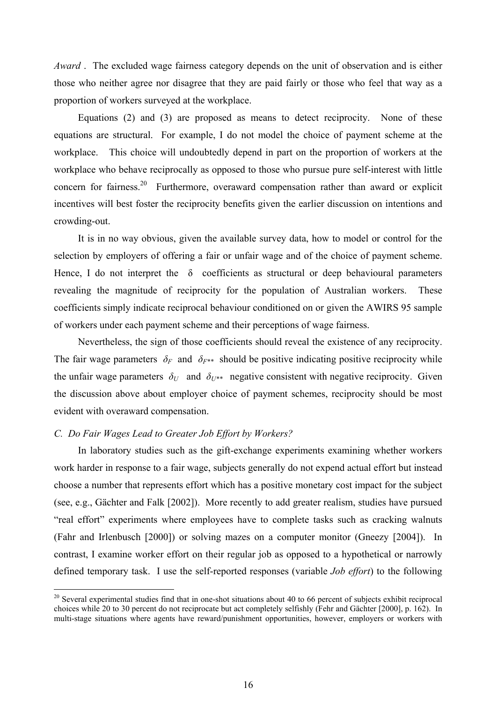*Award* . The excluded wage fairness category depends on the unit of observation and is either those who neither agree nor disagree that they are paid fairly or those who feel that way as a proportion of workers surveyed at the workplace.

Equations (2) and (3) are proposed as means to detect reciprocity. None of these equations are structural. For example, I do not model the choice of payment scheme at the workplace. This choice will undoubtedly depend in part on the proportion of workers at the workplace who behave reciprocally as opposed to those who pursue pure self-interest with little concern for fairness.<sup>20</sup> Furthermore, overaward compensation rather than award or explicit incentives will best foster the reciprocity benefits given the earlier discussion on intentions and crowding-out.

It is in no way obvious, given the available survey data, how to model or control for the selection by employers of offering a fair or unfair wage and of the choice of payment scheme. Hence, I do not interpret the  $\delta$  coefficients as structural or deep behavioural parameters revealing the magnitude of reciprocity for the population of Australian workers. These coefficients simply indicate reciprocal behaviour conditioned on or given the AWIRS 95 sample of workers under each payment scheme and their perceptions of wage fairness.

Nevertheless, the sign of those coefficients should reveal the existence of any reciprocity. The fair wage parameters  $\delta_F$  and  $\delta_{F^{**}}$  should be positive indicating positive reciprocity while the unfair wage parameters  $\delta_U$  and  $\delta_{U^{**}}$  negative consistent with negative reciprocity. Given the discussion above about employer choice of payment schemes, reciprocity should be most evident with overaward compensation.

## *C. Do Fair Wages Lead to Greater Job Effort by Workers?*

 $\overline{a}$ 

In laboratory studies such as the gift-exchange experiments examining whether workers work harder in response to a fair wage, subjects generally do not expend actual effort but instead choose a number that represents effort which has a positive monetary cost impact for the subject (see, e.g., Gächter and Falk [2002]). More recently to add greater realism, studies have pursued "real effort" experiments where employees have to complete tasks such as cracking walnuts (Fahr and Irlenbusch [2000]) or solving mazes on a computer monitor (Gneezy [2004]). In contrast, I examine worker effort on their regular job as opposed to a hypothetical or narrowly defined temporary task. I use the self-reported responses (variable *Job effort*) to the following

<span id="page-16-0"></span> $20$  Several experimental studies find that in one-shot situations about 40 to 66 percent of subjects exhibit reciprocal choices while 20 to 30 percent do not reciprocate but act completely selfishly (Fehr and Gächter [2000], p. 162). In multi-stage situations where agents have reward/punishment opportunities, however, employers or workers with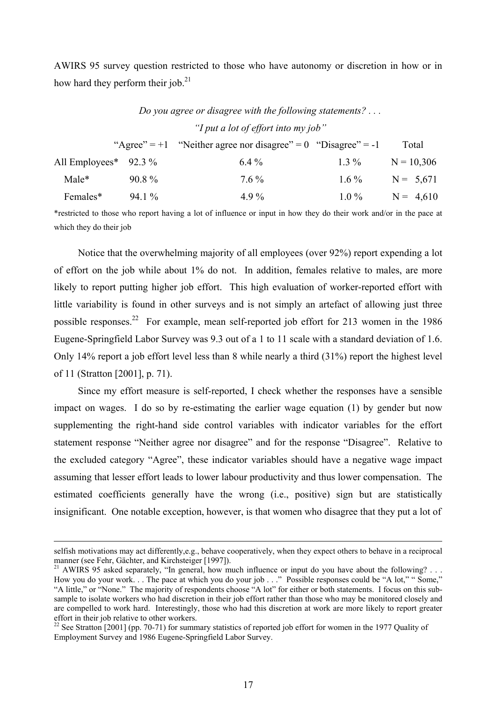AWIRS 95 survey question restricted to those who have autonomy or discretion in how or in how hard they perform their job. $^{21}$ 

*Do you agree or disagree with the following statements? . . .* 

|                         |          | Do you agree or alsagree with the journing statements.            |         |              |
|-------------------------|----------|-------------------------------------------------------------------|---------|--------------|
|                         |          | "I put a lot of effort into my job"                               |         |              |
|                         |          | "Agree" = $+1$ "Neither agree nor disagree" = 0 "Disagree" = $-1$ |         | Total        |
| All Employees* $92.3\%$ |          | $6.4\%$                                                           | $1.3\%$ | $N = 10,306$ |
| Male*                   | $90.8\%$ | $7.6\%$                                                           | $16\%$  | $N = 5,671$  |
| Females*                | $94.1\%$ | 4.9%                                                              | $1.0\%$ | $N = 4,610$  |

\*restricted to those who report having a lot of influence or input in how they do their work and/or in the pace at which they do their job

Notice that the overwhelming majority of all employees (over 92%) report expending a lot of effort on the job while about 1% do not. In addition, females relative to males, are more likely to report putting higher job effort. This high evaluation of worker-reported effort with little variability is found in other surveys and is not simply an artefact of allowing just three possible responses.<sup>22</sup> For example, mean self-reported job effort for 213 women in the 1986 Eugene-Springfield Labor Survey was 9.3 out of a 1 to 11 scale with a standard deviation of 1.6. Only 14% report a job effort level less than 8 while nearly a third (31%) report the highest level of 11 (Stratton [2001], p. 71).

Since my effort measure is self-reported, I check whether the responses have a sensible impact on wages. I do so by re-estimating the earlier wage equation (1) by gender but now supplementing the right-hand side control variables with indicator variables for the effort statement response "Neither agree nor disagree" and for the response "Disagree". Relative to the excluded category "Agree", these indicator variables should have a negative wage impact assuming that lesser effort leads to lower labour productivity and thus lower compensation. The estimated coefficients generally have the wrong (i.e., positive) sign but are statistically insignificant. One notable exception, however, is that women who disagree that they put a lot of

selfish motivations may act differently,e.g., behave cooperatively, when they expect others to behave in a reciprocal manner (see Fehr, Gächter, and Kirchsteiger [1997]).

<span id="page-17-0"></span><sup>&</sup>lt;sup>21</sup> AWIRS 95 asked separately, "In general, how much influence or input do you have about the following? . . . How you do your work. . . The pace at which you do your job . . ." Possible responses could be "A lot," " Some," "A little," or "None." The majority of respondents choose "A lot" for either or both statements. I focus on this subsample to isolate workers who had discretion in their job effort rather than those who may be monitored closely and are compelled to work hard. Interestingly, those who had this discretion at work are more likely to report greater effort in their job relative to other workers.

<span id="page-17-1"></span><sup>&</sup>lt;sup>22</sup> See Stratton [2001] (pp. 70-71) for summary statistics of reported job effort for women in the 1977 Quality of Employment Survey and 1986 Eugene-Springfield Labor Survey.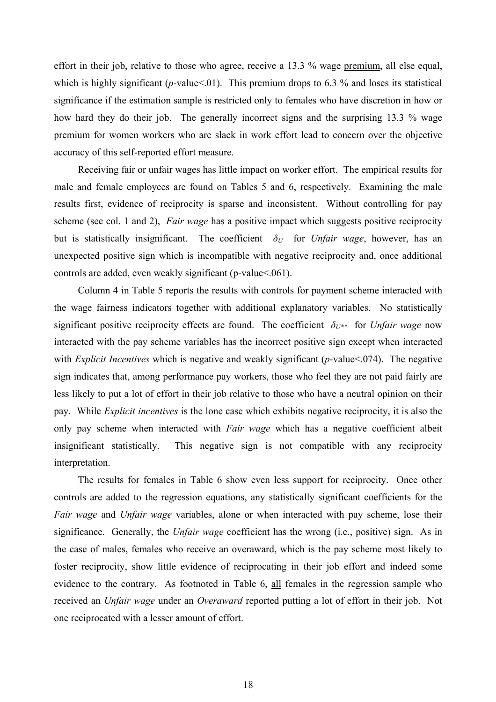effort in their job, relative to those who agree, receive a 13.3 % wage premium, all else equal, which is highly significant ( $p$ -value <.01). This premium drops to 6.3 % and loses its statistical significance if the estimation sample is restricted only to females who have discretion in how or how hard they do their job. The generally incorrect signs and the surprising 13.3 % wage premium for women workers who are slack in work effort lead to concern over the objective accuracy of this self-reported effort measure.

Receiving fair or unfair wages has little impact on worker effort. The empirical results for male and female employees are found on Tables 5 and 6, respectively. Examining the male results first, evidence of reciprocity is sparse and inconsistent. Without controlling for pay scheme (see col. 1 and 2), *Fair wage* has a positive impact which suggests positive reciprocity but is statistically insignificant. The coefficient  $\delta_U$  for *Unfair wage*, however, has an unexpected positive sign which is incompatible with negative reciprocity and, once additional controls are added, even weakly significant (p-value<.061).

Column 4 in Table 5 reports the results with controls for payment scheme interacted with the wage fairness indicators together with additional explanatory variables. No statistically significant positive reciprocity effects are found. The coefficient  $\delta_{U^{**}}$  for *Unfair wage* now interacted with the pay scheme variables has the incorrect positive sign except when interacted with *Explicit Incentives* which is negative and weakly significant (*p*-value<.074). The negative sign indicates that, among performance pay workers, those who feel they are not paid fairly are less likely to put a lot of effort in their job relative to those who have a neutral opinion on their pay. While *Explicit incentives* is the lone case which exhibits negative reciprocity, it is also the only pay scheme when interacted with *Fair wage* which has a negative coefficient albeit insignificant statistically. This negative sign is not compatible with any reciprocity interpretation.

The results for females in Table 6 show even less support for reciprocity. Once other controls are added to the regression equations, any statistically significant coefficients for the *Fair wage* and *Unfair wage* variables, alone or when interacted with pay scheme, lose their significance. Generally, the *Unfair wage* coefficient has the wrong (i.e., positive) sign. As in the case of males, females who receive an overaward, which is the pay scheme most likely to foster reciprocity, show little evidence of reciprocating in their job effort and indeed some evidence to the contrary. As footnoted in Table 6, all females in the regression sample who received an *Unfair wage* under an *Overaward* reported putting a lot of effort in their job. Not one reciprocated with a lesser amount of effort.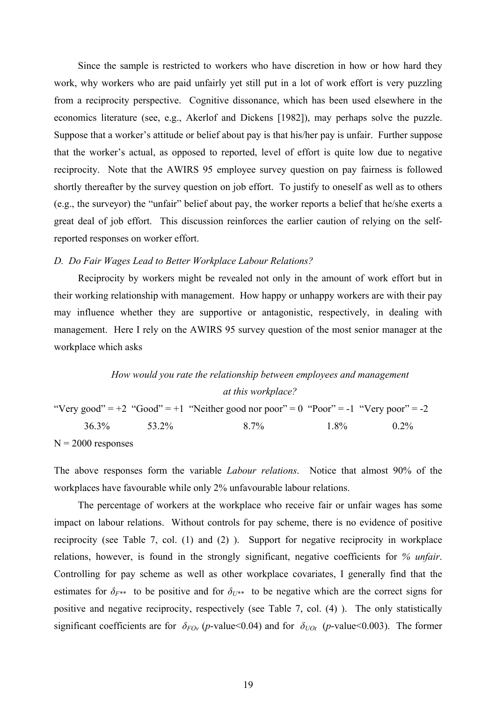Since the sample is restricted to workers who have discretion in how or how hard they work, why workers who are paid unfairly yet still put in a lot of work effort is very puzzling from a reciprocity perspective. Cognitive dissonance, which has been used elsewhere in the economics literature (see, e.g., Akerlof and Dickens [1982]), may perhaps solve the puzzle. Suppose that a worker's attitude or belief about pay is that his/her pay is unfair. Further suppose that the worker's actual, as opposed to reported, level of effort is quite low due to negative reciprocity. Note that the AWIRS 95 employee survey question on pay fairness is followed shortly thereafter by the survey question on job effort. To justify to oneself as well as to others (e.g., the surveyor) the "unfair" belief about pay, the worker reports a belief that he/she exerts a great deal of job effort. This discussion reinforces the earlier caution of relying on the selfreported responses on worker effort.

# *D. Do Fair Wages Lead to Better Workplace Labour Relations?*

Reciprocity by workers might be revealed not only in the amount of work effort but in their working relationship with management. How happy or unhappy workers are with their pay may influence whether they are supportive or antagonistic, respectively, in dealing with management. Here I rely on the AWIRS 95 survey question of the most senior manager at the workplace which asks

# *How would you rate the relationship between employees and management at this workplace?*

"Very good" =  $+2$  "Good" =  $+1$  "Neither good nor poor" =  $0$  "Poor" =  $-1$  "Very poor" =  $-2$  36.3% 53.2% 8.7% 1.8% 0.2%  $N = 2000$  responses

The above responses form the variable *Labour relations*. Notice that almost 90% of the workplaces have favourable while only 2% unfavourable labour relations.

The percentage of workers at the workplace who receive fair or unfair wages has some impact on labour relations. Without controls for pay scheme, there is no evidence of positive reciprocity (see Table 7, col. (1) and (2) ). Support for negative reciprocity in workplace relations, however, is found in the strongly significant, negative coefficients for *% unfair*. Controlling for pay scheme as well as other workplace covariates, I generally find that the estimates for  $\delta_{F^{**}}$  to be positive and for  $\delta_{U^{**}}$  to be negative which are the correct signs for positive and negative reciprocity, respectively (see Table 7, col. (4) ). The only statistically significant coefficients are for  $\delta_{FOv}$  (*p*-value < 0.04) and for  $\delta_{UOt}$  (*p*-value < 0.003). The former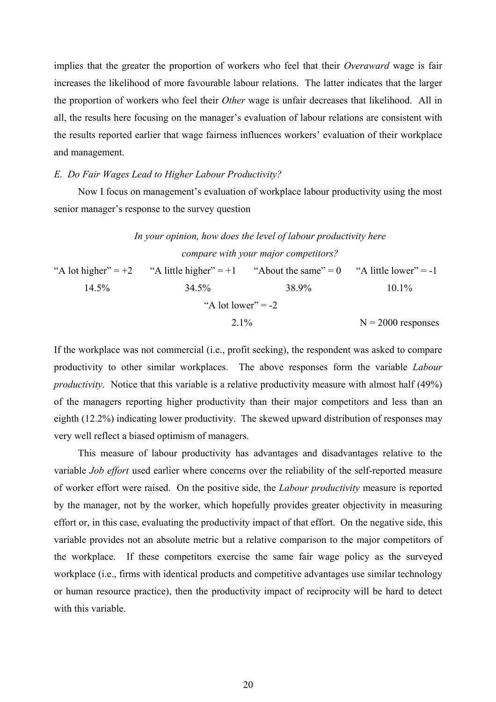implies that the greater the proportion of workers who feel that their *Overaward* wage is fair increases the likelihood of more favourable labour relations. The latter indicates that the larger the proportion of workers who feel their *Other* wage is unfair decreases that likelihood. All in all, the results here focusing on the manager's evaluation of labour relations are consistent with the results reported earlier that wage fairness influences workers' evaluation of their workplace and management.

### *E. Do Fair Wages Lead to Higher Labour Productivity?*

Now I focus on management's evaluation of workplace labour productivity using the most senior manager's response to the survey question

*In your opinion, how does the level of labour productivity here compare with your major competitors?*  "A lot higher" =  $+2$  "A little higher" =  $+1$  "About the same" = 0 "A little lower" =  $-1$  14.5% 34.5% 38.9% 10.1% "A lot lower"  $= -2$  $2.1\%$  N = 2000 responses

If the workplace was not commercial (i.e., profit seeking), the respondent was asked to compare productivity to other similar workplaces. The above responses form the variable *Labour productivity*. Notice that this variable is a relative productivity measure with almost half (49%) of the managers reporting higher productivity than their major competitors and less than an eighth (12.2%) indicating lower productivity. The skewed upward distribution of responses may very well reflect a biased optimism of managers.

This measure of labour productivity has advantages and disadvantages relative to the variable *Job effort* used earlier where concerns over the reliability of the self-reported measure of worker effort were raised. On the positive side, the *Labour productivity* measure is reported by the manager, not by the worker, which hopefully provides greater objectivity in measuring effort or, in this case, evaluating the productivity impact of that effort. On the negative side, this variable provides not an absolute metric but a relative comparison to the major competitors of the workplace. If these competitors exercise the same fair wage policy as the surveyed workplace (i.e., firms with identical products and competitive advantages use similar technology or human resource practice), then the productivity impact of reciprocity will be hard to detect with this variable.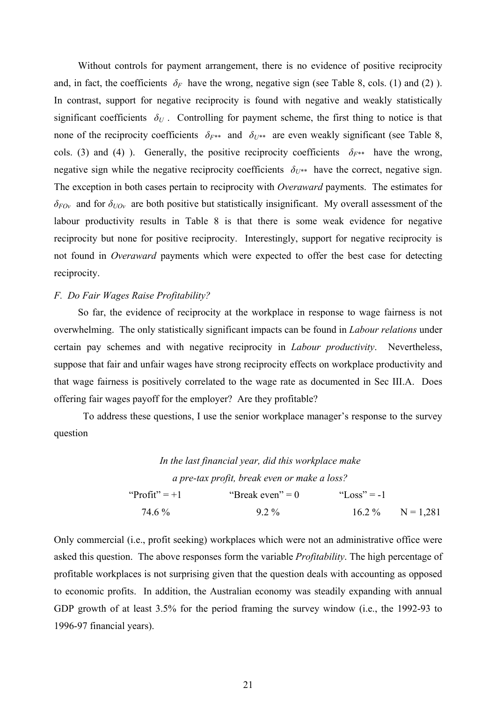Without controls for payment arrangement, there is no evidence of positive reciprocity and, in fact, the coefficients  $\delta_F$  have the wrong, negative sign (see Table 8, cols. (1) and (2) ). In contrast, support for negative reciprocity is found with negative and weakly statistically significant coefficients  $\delta_U$ . Controlling for payment scheme, the first thing to notice is that none of the reciprocity coefficients  $\delta_{F^{**}}$  and  $\delta_{U^{**}}$  are even weakly significant (see Table 8, cols. (3) and (4) ). Generally, the positive reciprocity coefficients  $\delta_{F^{**}}$  have the wrong, negative sign while the negative reciprocity coefficients  $\delta_{U^{**}}$  have the correct, negative sign. The exception in both cases pertain to reciprocity with *Overaward* payments. The estimates for *δFOv* and for *δUOv* are both positive but statistically insignificant. My overall assessment of the labour productivity results in Table 8 is that there is some weak evidence for negative reciprocity but none for positive reciprocity. Interestingly, support for negative reciprocity is not found in *Overaward* payments which were expected to offer the best case for detecting reciprocity.

### *F. Do Fair Wages Raise Profitability?*

So far, the evidence of reciprocity at the workplace in response to wage fairness is not overwhelming. The only statistically significant impacts can be found in *Labour relations* under certain pay schemes and with negative reciprocity in *Labour productivity*. Nevertheless, suppose that fair and unfair wages have strong reciprocity effects on workplace productivity and that wage fairness is positively correlated to the wage rate as documented in Sec III.A. Does offering fair wages payoff for the employer? Are they profitable?

To address these questions, I use the senior workplace manager's response to the survey question

*In the last financial year, did this workplace make a pre-tax profit, break even or make a loss?*  "Profit" = +1 "Break even" = 0 "Loss" = -1 74.6 % 9.2 % 16.2 % N = 1,281

Only commercial (i.e., profit seeking) workplaces which were not an administrative office were asked this question. The above responses form the variable *Profitability*. The high percentage of profitable workplaces is not surprising given that the question deals with accounting as opposed to economic profits. In addition, the Australian economy was steadily expanding with annual GDP growth of at least 3.5% for the period framing the survey window (i.e., the 1992-93 to 1996-97 financial years).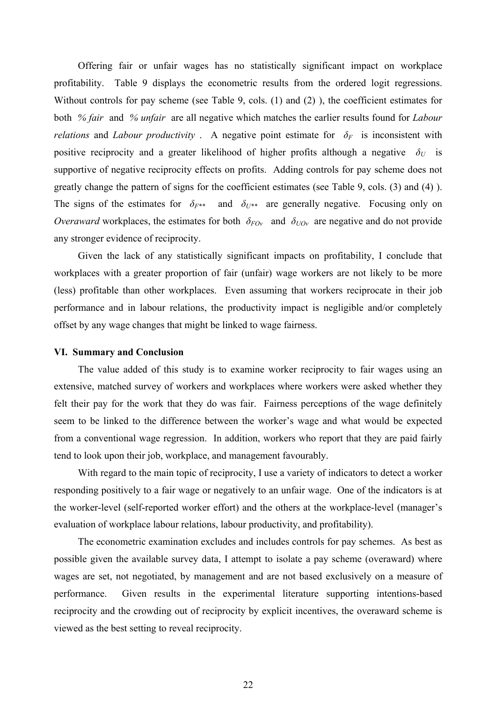Offering fair or unfair wages has no statistically significant impact on workplace profitability. Table 9 displays the econometric results from the ordered logit regressions. Without controls for pay scheme (see Table 9, cols. (1) and (2) ), the coefficient estimates for both *% fair* and *% unfair* are all negative which matches the earlier results found for *Labour relations* and *Labour productivity*. A negative point estimate for  $\delta_F$  is inconsistent with positive reciprocity and a greater likelihood of higher profits although a negative  $\delta_U$  is supportive of negative reciprocity effects on profits. Adding controls for pay scheme does not greatly change the pattern of signs for the coefficient estimates (see Table 9, cols. (3) and (4) ). The signs of the estimates for  $\delta_{F^{**}}$  and  $\delta_{U^{**}}$  are generally negative. Focusing only on *Overaward* workplaces, the estimates for both  $\delta_{FOv}$  and  $\delta_{UOv}$  are negative and do not provide any stronger evidence of reciprocity.

Given the lack of any statistically significant impacts on profitability, I conclude that workplaces with a greater proportion of fair (unfair) wage workers are not likely to be more (less) profitable than other workplaces. Even assuming that workers reciprocate in their job performance and in labour relations, the productivity impact is negligible and/or completely offset by any wage changes that might be linked to wage fairness.

## **VI. Summary and Conclusion**

The value added of this study is to examine worker reciprocity to fair wages using an extensive, matched survey of workers and workplaces where workers were asked whether they felt their pay for the work that they do was fair. Fairness perceptions of the wage definitely seem to be linked to the difference between the worker's wage and what would be expected from a conventional wage regression. In addition, workers who report that they are paid fairly tend to look upon their job, workplace, and management favourably.

With regard to the main topic of reciprocity, I use a variety of indicators to detect a worker responding positively to a fair wage or negatively to an unfair wage. One of the indicators is at the worker-level (self-reported worker effort) and the others at the workplace-level (manager's evaluation of workplace labour relations, labour productivity, and profitability).

The econometric examination excludes and includes controls for pay schemes. As best as possible given the available survey data, I attempt to isolate a pay scheme (overaward) where wages are set, not negotiated, by management and are not based exclusively on a measure of performance. Given results in the experimental literature supporting intentions-based reciprocity and the crowding out of reciprocity by explicit incentives, the overaward scheme is viewed as the best setting to reveal reciprocity.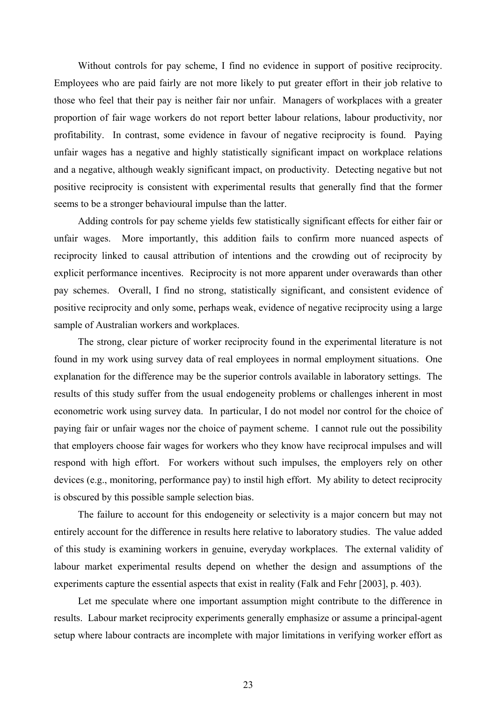Without controls for pay scheme, I find no evidence in support of positive reciprocity. Employees who are paid fairly are not more likely to put greater effort in their job relative to those who feel that their pay is neither fair nor unfair. Managers of workplaces with a greater proportion of fair wage workers do not report better labour relations, labour productivity, nor profitability. In contrast, some evidence in favour of negative reciprocity is found. Paying unfair wages has a negative and highly statistically significant impact on workplace relations and a negative, although weakly significant impact, on productivity. Detecting negative but not positive reciprocity is consistent with experimental results that generally find that the former seems to be a stronger behavioural impulse than the latter.

Adding controls for pay scheme yields few statistically significant effects for either fair or unfair wages. More importantly, this addition fails to confirm more nuanced aspects of reciprocity linked to causal attribution of intentions and the crowding out of reciprocity by explicit performance incentives. Reciprocity is not more apparent under overawards than other pay schemes. Overall, I find no strong, statistically significant, and consistent evidence of positive reciprocity and only some, perhaps weak, evidence of negative reciprocity using a large sample of Australian workers and workplaces.

The strong, clear picture of worker reciprocity found in the experimental literature is not found in my work using survey data of real employees in normal employment situations. One explanation for the difference may be the superior controls available in laboratory settings. The results of this study suffer from the usual endogeneity problems or challenges inherent in most econometric work using survey data. In particular, I do not model nor control for the choice of paying fair or unfair wages nor the choice of payment scheme. I cannot rule out the possibility that employers choose fair wages for workers who they know have reciprocal impulses and will respond with high effort. For workers without such impulses, the employers rely on other devices (e.g., monitoring, performance pay) to instil high effort. My ability to detect reciprocity is obscured by this possible sample selection bias.

The failure to account for this endogeneity or selectivity is a major concern but may not entirely account for the difference in results here relative to laboratory studies. The value added of this study is examining workers in genuine, everyday workplaces. The external validity of labour market experimental results depend on whether the design and assumptions of the experiments capture the essential aspects that exist in reality (Falk and Fehr [2003], p. 403).

Let me speculate where one important assumption might contribute to the difference in results. Labour market reciprocity experiments generally emphasize or assume a principal-agent setup where labour contracts are incomplete with major limitations in verifying worker effort as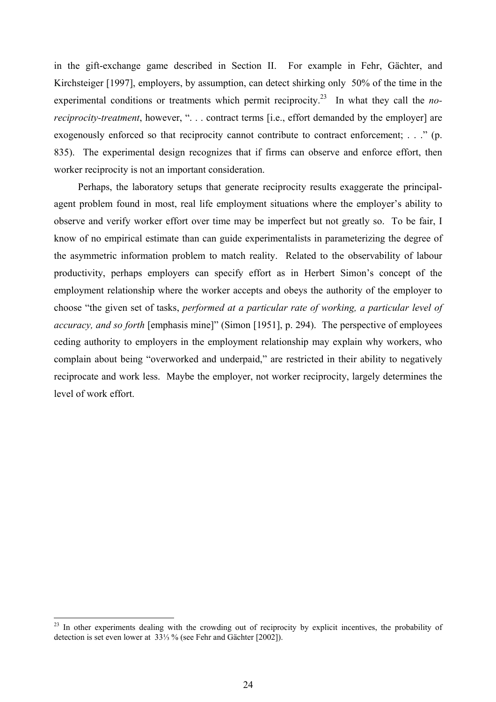in the gift-exchange game described in Section II. For example in Fehr, Gächter, and Kirchsteiger [1997], employers, by assumption, can detect shirking only 50% of the time in the experimental conditions or treatments which permit reciprocity.<sup>23</sup> In what they call the *noreciprocity-treatment*, however, ". . . contract terms [i.e., effort demanded by the employer] are exogenously enforced so that reciprocity cannot contribute to contract enforcement; ..." (p. 835). The experimental design recognizes that if firms can observe and enforce effort, then worker reciprocity is not an important consideration.

Perhaps, the laboratory setups that generate reciprocity results exaggerate the principalagent problem found in most, real life employment situations where the employer's ability to observe and verify worker effort over time may be imperfect but not greatly so. To be fair, I know of no empirical estimate than can guide experimentalists in parameterizing the degree of the asymmetric information problem to match reality. Related to the observability of labour productivity, perhaps employers can specify effort as in Herbert Simon's concept of the employment relationship where the worker accepts and obeys the authority of the employer to choose "the given set of tasks, *performed at a particular rate of working, a particular level of accuracy, and so forth* [emphasis mine]" (Simon [1951], p. 294). The perspective of employees ceding authority to employers in the employment relationship may explain why workers, who complain about being "overworked and underpaid," are restricted in their ability to negatively reciprocate and work less. Maybe the employer, not worker reciprocity, largely determines the level of work effort.

 $\overline{a}$ 

<span id="page-24-0"></span> $2<sup>23</sup>$  In other experiments dealing with the crowding out of reciprocity by explicit incentives, the probability of detection is set even lower at 33⅓ % (see Fehr and Gächter [2002]).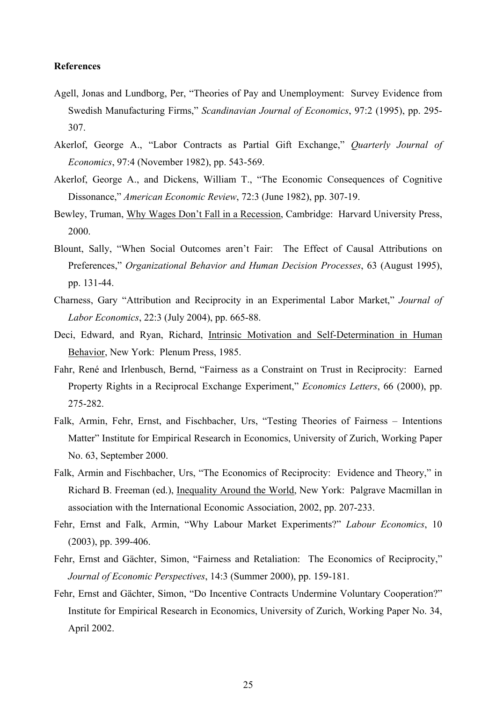## **References**

- Agell, Jonas and Lundborg, Per, "Theories of Pay and Unemployment: Survey Evidence from Swedish Manufacturing Firms," *Scandinavian Journal of Economics*, 97:2 (1995), pp. 295- 307.
- Akerlof, George A., "Labor Contracts as Partial Gift Exchange," *Quarterly Journal of Economics*, 97:4 (November 1982), pp. 543-569.
- Akerlof, George A., and Dickens, William T., "The Economic Consequences of Cognitive Dissonance," *American Economic Review*, 72:3 (June 1982), pp. 307-19.
- Bewley, Truman, Why Wages Don't Fall in a Recession, Cambridge: Harvard University Press, 2000.
- Blount, Sally, "When Social Outcomes aren't Fair: The Effect of Causal Attributions on Preferences," *Organizational Behavior and Human Decision Processes*, 63 (August 1995), pp. 131-44.
- Charness, Gary "Attribution and Reciprocity in an Experimental Labor Market," *Journal of Labor Economics*, 22:3 (July 2004), pp. 665-88.
- Deci, Edward, and Ryan, Richard, Intrinsic Motivation and Self-Determination in Human Behavior, New York: Plenum Press, 1985.
- Fahr, René and Irlenbusch, Bernd, "Fairness as a Constraint on Trust in Reciprocity: Earned Property Rights in a Reciprocal Exchange Experiment," *Economics Letters*, 66 (2000), pp. 275-282.
- Falk, Armin, Fehr, Ernst, and Fischbacher, Urs, "Testing Theories of Fairness Intentions Matter" Institute for Empirical Research in Economics, University of Zurich, Working Paper No. 63, September 2000.
- Falk, Armin and Fischbacher, Urs, "The Economics of Reciprocity: Evidence and Theory," in Richard B. Freeman (ed.), Inequality Around the World, New York: Palgrave Macmillan in association with the International Economic Association, 2002, pp. 207-233.
- Fehr, Ernst and Falk, Armin, "Why Labour Market Experiments?" *Labour Economics*, 10 (2003), pp. 399-406.
- Fehr, Ernst and Gächter, Simon, "Fairness and Retaliation: The Economics of Reciprocity," *Journal of Economic Perspectives*, 14:3 (Summer 2000), pp. 159-181.
- Fehr, Ernst and Gächter, Simon, "Do Incentive Contracts Undermine Voluntary Cooperation?" Institute for Empirical Research in Economics, University of Zurich, Working Paper No. 34, April 2002.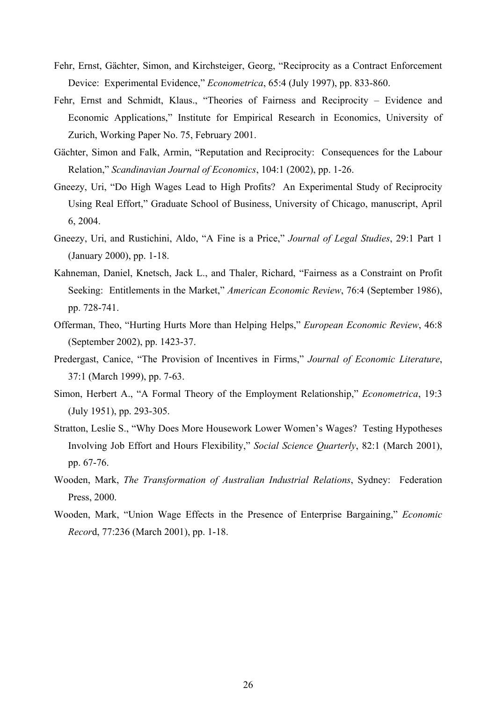- Fehr, Ernst, Gächter, Simon, and Kirchsteiger, Georg, "Reciprocity as a Contract Enforcement Device: Experimental Evidence," *Econometrica*, 65:4 (July 1997), pp. 833-860.
- Fehr, Ernst and Schmidt, Klaus., "Theories of Fairness and Reciprocity Evidence and Economic Applications," Institute for Empirical Research in Economics, University of Zurich, Working Paper No. 75, February 2001.
- Gächter, Simon and Falk, Armin, "Reputation and Reciprocity: Consequences for the Labour Relation," *Scandinavian Journal of Economics*, 104:1 (2002), pp. 1-26.
- Gneezy, Uri, "Do High Wages Lead to High Profits? An Experimental Study of Reciprocity Using Real Effort," Graduate School of Business, University of Chicago, manuscript, April 6, 2004.
- Gneezy, Uri, and Rustichini, Aldo, "A Fine is a Price," *Journal of Legal Studies*, 29:1 Part 1 (January 2000), pp. 1-18.
- Kahneman, Daniel, Knetsch, Jack L., and Thaler, Richard, "Fairness as a Constraint on Profit Seeking: Entitlements in the Market," *American Economic Review*, 76:4 (September 1986), pp. 728-741.
- Offerman, Theo, "Hurting Hurts More than Helping Helps," *European Economic Review*, 46:8 (September 2002), pp. 1423-37.
- Predergast, Canice, "The Provision of Incentives in Firms," *Journal of Economic Literature*, 37:1 (March 1999), pp. 7-63.
- Simon, Herbert A., "A Formal Theory of the Employment Relationship," *Econometrica*, 19:3 (July 1951), pp. 293-305.
- Stratton, Leslie S., "Why Does More Housework Lower Women's Wages? Testing Hypotheses Involving Job Effort and Hours Flexibility," *Social Science Quarterly*, 82:1 (March 2001), pp. 67-76.
- Wooden, Mark, *The Transformation of Australian Industrial Relations*, Sydney: Federation Press, 2000.
- Wooden, Mark, "Union Wage Effects in the Presence of Enterprise Bargaining," *Economic Recor*d, 77:236 (March 2001), pp. 1-18.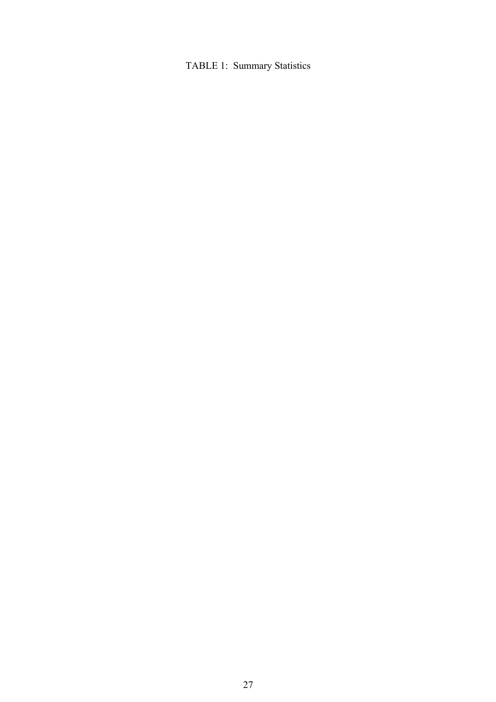# TABLE 1: Summary Statistics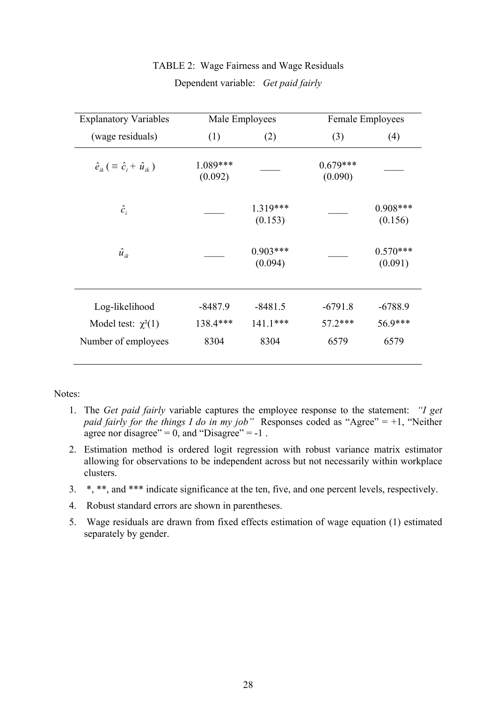| <b>Explanatory Variables</b>                           | Male Employees        |                       |                       | Female Employees      |
|--------------------------------------------------------|-----------------------|-----------------------|-----------------------|-----------------------|
| (wage residuals)                                       | (1)                   | (2)                   | (3)                   | (4)                   |
| $\hat{e}_{ik}$ ( $\equiv \hat{c}_{i} + \hat{u}_{ik}$ ) | $1.089***$<br>(0.092) |                       | $0.679***$<br>(0.090) |                       |
| $\hat{c}_i$                                            |                       | 1.319***<br>(0.153)   |                       | $0.908***$<br>(0.156) |
| $\hat{u}_{ik}$                                         |                       | $0.903***$<br>(0.094) |                       | $0.570***$<br>(0.091) |
| Log-likelihood                                         | $-8487.9$             | $-8481.5$             | $-6791.8$             | $-6788.9$             |
| Model test: $\chi^2(1)$                                | 138.4***              | $141.1***$            | 57.2***               | 56.9***               |
| Number of employees                                    | 8304                  | 8304                  | 6579                  | 6579                  |

# TABLE 2: Wage Fairness and Wage Residuals Dependent variable: *Get paid fairly*

Notes:

- 1. The *Get paid fairly* variable captures the employee response to the statement: *"I get paid fairly for the things I do in my job*" Responses coded as "Agree" = +1, "Neither agree nor disagree" =  $0$ , and "Disagree" =  $-1$ .
- 2. Estimation method is ordered logit regression with robust variance matrix estimator allowing for observations to be independent across but not necessarily within workplace clusters.
- 3. \*, \*\*, and \*\*\* indicate significance at the ten, five, and one percent levels, respectively.
- 4. Robust standard errors are shown in parentheses.
- 5. Wage residuals are drawn from fixed effects estimation of wage equation (1) estimated separately by gender.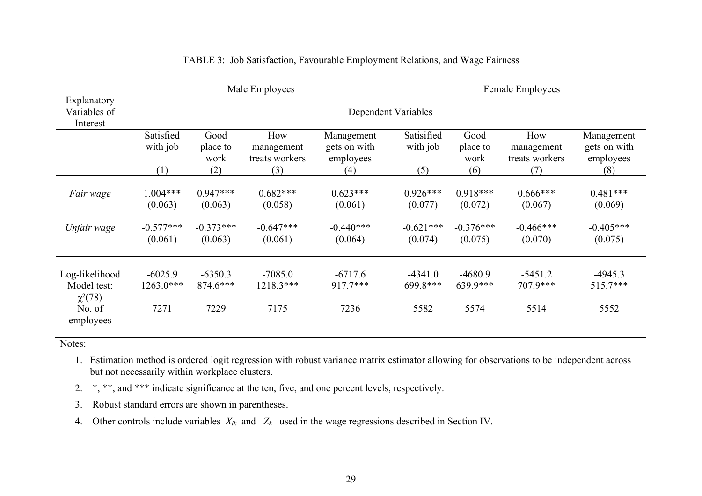|                                                         |                                |                               | Male Employees                      |                                         |                               |                               | Female Employees                    |                                         |
|---------------------------------------------------------|--------------------------------|-------------------------------|-------------------------------------|-----------------------------------------|-------------------------------|-------------------------------|-------------------------------------|-----------------------------------------|
| Explanatory<br>Variables of<br>Interest                 |                                |                               |                                     |                                         | Dependent Variables           |                               |                                     |                                         |
|                                                         | Satisfied<br>with job          | Good<br>place to<br>work      | How<br>management<br>treats workers | Management<br>gets on with<br>employees | Satisified<br>with job        | Good<br>place to<br>work      | How<br>management<br>treats workers | Management<br>gets on with<br>employees |
|                                                         | (1)                            | (2)                           | (3)                                 | (4)                                     | (5)                           | (6)                           | (7)                                 | (8)                                     |
| Fair wage                                               | $1.004***$<br>(0.063)          | $0.947***$<br>(0.063)         | $0.682***$<br>(0.058)               | $0.623***$<br>(0.061)                   | $0.926***$<br>(0.077)         | $0.918***$<br>(0.072)         | $0.666***$<br>(0.067)               | $0.481***$<br>(0.069)                   |
| Unfair wage                                             | $-0.577***$<br>(0.061)         | $-0.373***$<br>(0.063)        | $-0.647***$<br>(0.061)              | $-0.440***$<br>(0.064)                  | $-0.621***$<br>(0.074)        | $-0.376***$<br>(0.075)        | $-0.466***$<br>(0.070)              | $-0.405***$<br>(0.075)                  |
| Log-likelihood<br>Model test:<br>$\chi^2(78)$<br>No. of | $-6025.9$<br>1263.0***<br>7271 | $-6350.3$<br>874.6***<br>7229 | $-7085.0$<br>1218.3***<br>7175      | $-6717.6$<br>$917.7***$<br>7236         | $-4341.0$<br>699.8***<br>5582 | $-4680.9$<br>639.9***<br>5574 | $-5451.2$<br>707.9***<br>5514       | $-4945.3$<br>$515.7***$<br>5552         |
| employees                                               |                                |                               |                                     |                                         |                               |                               |                                     |                                         |

# TABLE 3: Job Satisfaction, Favourable Employment Relations, and Wage Fairness

Notes:

- 1. Estimation method is ordered logit regression with robust variance matrix estimator allowing for observations to be independent across but not necessarily within workplace clusters.
- 2. \*, \*\*, and \*\*\* indicate significance at the ten, five, and one percent levels, respectively.
- 3. Robust standard errors are shown in parentheses.
- 4. Other controls include variables *Xik* and *Zk* used in the wage regressions described in Section IV.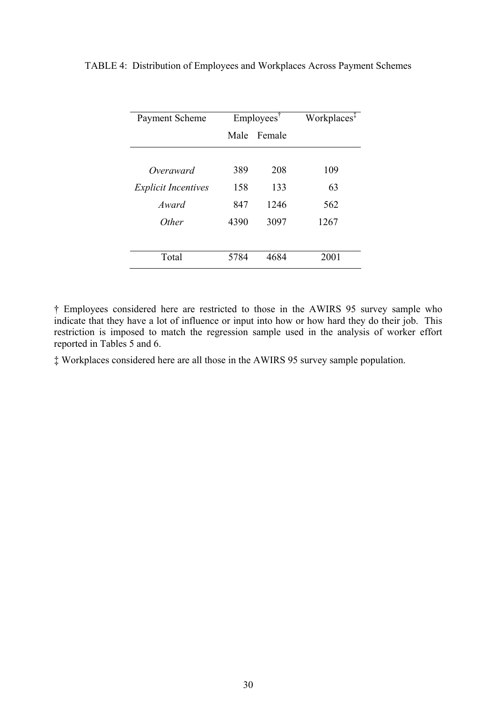| Payment Scheme             |      | $Employes^{\dagger}$ | Workplaces <sup>‡</sup> |
|----------------------------|------|----------------------|-------------------------|
|                            | Male | Female               |                         |
|                            |      |                      |                         |
| Overaward                  | 389  | 208                  | 109                     |
| <b>Explicit Incentives</b> | 158  | 133                  | 63                      |
| Award                      | 847  | 1246                 | 562                     |
| <i>Other</i>               | 4390 | 3097                 | 1267                    |
|                            |      |                      |                         |
| Total                      | 5784 | 4684                 | 2001                    |

TABLE 4: Distribution of Employees and Workplaces Across Payment Schemes

† Employees considered here are restricted to those in the AWIRS 95 survey sample who indicate that they have a lot of influence or input into how or how hard they do their job. This restriction is imposed to match the regression sample used in the analysis of worker effort reported in Tables 5 and 6.

‡ Workplaces considered here are all those in the AWIRS 95 survey sample population.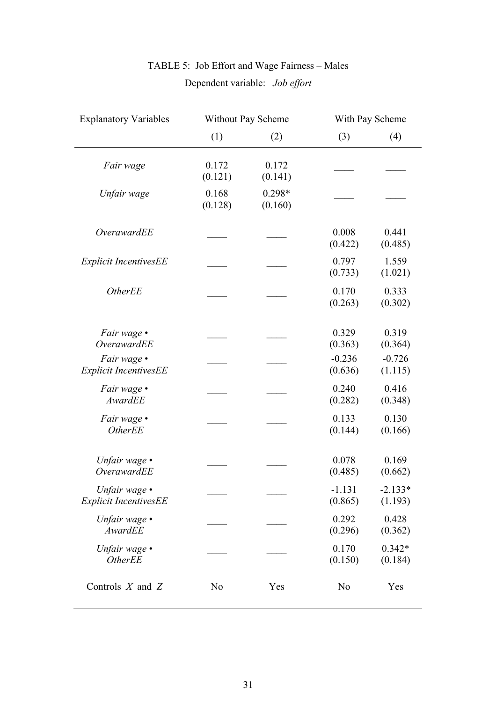| <b>Explanatory Variables</b>                  |                  | <b>Without Pay Scheme</b> | With Pay Scheme     |                      |
|-----------------------------------------------|------------------|---------------------------|---------------------|----------------------|
|                                               | (1)              | (2)                       | (3)                 | (4)                  |
| Fair wage                                     | 0.172<br>(0.121) | 0.172<br>(0.141)          |                     |                      |
| Unfair wage                                   | 0.168<br>(0.128) | $0.298*$<br>(0.160)       |                     |                      |
| OverawardEE                                   |                  |                           | 0.008<br>(0.422)    | 0.441<br>(0.485)     |
| <b>Explicit IncentivesEE</b>                  |                  |                           | 0.797<br>(0.733)    | 1.559<br>(1.021)     |
| <b>OtherEE</b>                                |                  |                           | 0.170<br>(0.263)    | 0.333<br>(0.302)     |
| Fair wage •<br><b>OverawardEE</b>             |                  |                           | 0.329<br>(0.363)    | 0.319<br>(0.364)     |
| Fair wage .<br><b>Explicit IncentivesEE</b>   |                  |                           | $-0.236$<br>(0.636) | $-0.726$<br>(1.115)  |
| Fair wage •<br>AwardEE                        |                  |                           | 0.240<br>(0.282)    | 0.416<br>(0.348)     |
| Fair wage •<br><b>OtherEE</b>                 |                  |                           | 0.133<br>(0.144)    | 0.130<br>(0.166)     |
| Unfair wage •<br><b>OverawardEE</b>           |                  |                           | 0.078<br>(0.485)    | 0.169<br>(0.662)     |
| Unfair wage •<br><b>Explicit IncentivesEE</b> |                  |                           | $-1.131$<br>(0.865) | $-2.133*$<br>(1.193) |
| Unfair wage $\bullet$<br>AwardEE              |                  |                           | 0.292<br>(0.296)    | 0.428<br>(0.362)     |
| Unfair wage •<br><b>OtherEE</b>               |                  |                           | 0.170<br>(0.150)    | $0.342*$<br>(0.184)  |
| Controls $X$ and $Z$                          | N <sub>0</sub>   | Yes                       | N <sub>0</sub>      | Yes                  |

# TABLE 5: Job Effort and Wage Fairness – Males Dependent variable: *Job effort*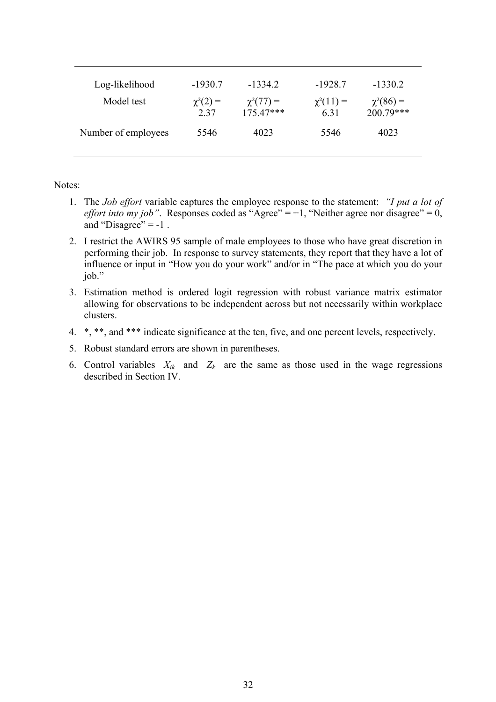| Log-likelihood<br>Model test | $-1930.7$<br>$\chi^2(2) =$<br>2.37 | $-1334.2$<br>$\chi^2(77) =$<br>$175.47***$ | $-1928.7$<br>$\chi^2(11) =$<br>6.31 | $-1330.2$<br>$\chi^2(86) =$<br>$200.79***$ |
|------------------------------|------------------------------------|--------------------------------------------|-------------------------------------|--------------------------------------------|
| Number of employees          | 5546                               | 4023                                       | 5546                                | 4023                                       |

Notes:

- 1. The *Job effort* variable captures the employee response to the statement: *"I put a lot of effort into my job"*. Responses coded as "Agree" = +1, "Neither agree nor disagree" =  $0$ , and "Disagree" =  $-1$ .
- 2. I restrict the AWIRS 95 sample of male employees to those who have great discretion in performing their job. In response to survey statements, they report that they have a lot of influence or input in "How you do your work" and/or in "The pace at which you do your job."
- 3. Estimation method is ordered logit regression with robust variance matrix estimator allowing for observations to be independent across but not necessarily within workplace clusters.
- 4. \*, \*\*, and \*\*\* indicate significance at the ten, five, and one percent levels, respectively.
- 5. Robust standard errors are shown in parentheses.
- 6. Control variables  $X_{ik}$  and  $Z_k$  are the same as those used in the wage regressions described in Section IV.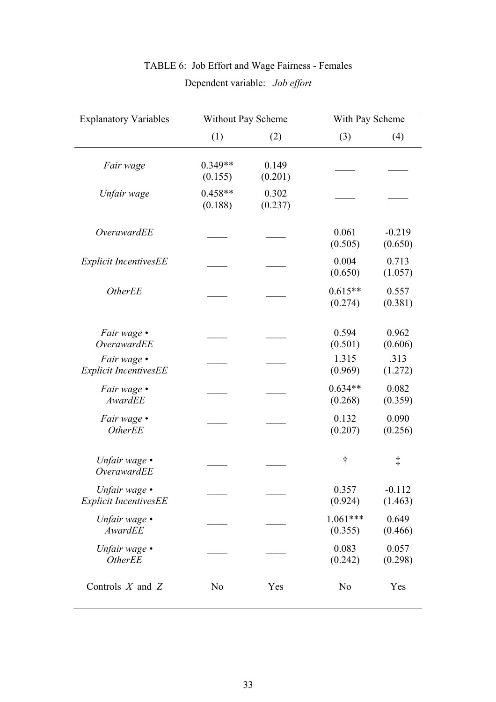| <b>Explanatory Variables</b>                  | Without Pay Scheme   |                  | With Pay Scheme       |                     |
|-----------------------------------------------|----------------------|------------------|-----------------------|---------------------|
|                                               | (1)                  | (2)              | (3)                   | (4)                 |
| Fair wage                                     | $0.349**$<br>(0.155) | 0.149<br>(0.201) |                       |                     |
| Unfair wage                                   | $0.458**$<br>(0.188) | 0.302<br>(0.237) |                       |                     |
| OverawardEE                                   |                      |                  | 0.061<br>(0.505)      | $-0.219$<br>(0.650) |
| <b>Explicit IncentivesEE</b>                  |                      |                  | 0.004<br>(0.650)      | 0.713<br>(1.057)    |
| <b>OtherEE</b>                                |                      |                  | $0.615**$<br>(0.274)  | 0.557<br>(0.381)    |
| Fair wage •<br><b>OverawardEE</b>             |                      |                  | 0.594<br>(0.501)      | 0.962<br>(0.606)    |
| Fair wage •<br><b>Explicit IncentivesEE</b>   |                      |                  | 1.315<br>(0.969)      | .313<br>(1.272)     |
| Fair wage •<br>AwardEE                        |                      |                  | $0.634**$<br>(0.268)  | 0.082<br>(0.359)    |
| Fair wage •<br><b>OtherEE</b>                 |                      |                  | 0.132<br>(0.207)      | 0.090<br>(0.256)    |
| Unfair wage $\cdot$<br>OverawardEE            |                      |                  | t                     | $\ddagger$          |
| Unfair wage •<br><b>Explicit IncentivesEE</b> |                      |                  | 0.357<br>(0.924)      | $-0.112$<br>(1.463) |
| Unfair wage $\bullet$<br>AwardEE              |                      |                  | $1.061***$<br>(0.355) | 0.649<br>(0.466)    |
| Unfair wage $\bullet$<br><b>OtherEE</b>       |                      |                  | 0.083<br>(0.242)      | 0.057<br>(0.298)    |
| Controls $X$ and $Z$                          | N <sub>0</sub>       | Yes              | N <sub>o</sub>        | Yes                 |

# TABLE 6: Job Effort and Wage Fairness - Females Dependent variable: *Job effort*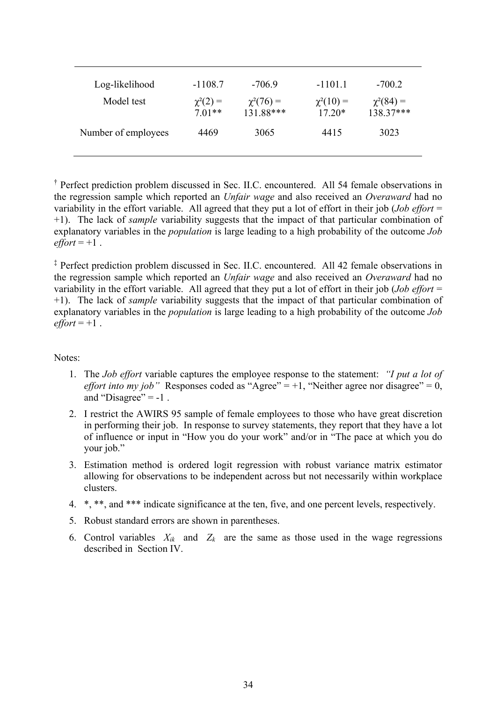| Log-likelihood<br>Model test | $-1108.7$<br>$\chi^2(2) =$<br>$7.01**$ | $-7069$<br>$\chi^2(76) =$<br>131.88*** | $-1101.1$<br>$\chi^2(10) =$<br>$17.20*$ | $-700.2$<br>$\chi^2(84) =$<br>138.37*** |
|------------------------------|----------------------------------------|----------------------------------------|-----------------------------------------|-----------------------------------------|
| Number of employees          | 4469                                   | 3065                                   | 4415                                    | 3023                                    |

† Perfect prediction problem discussed in Sec. II.C. encountered. All 54 female observations in the regression sample which reported an *Unfair wage* and also received an *Overaward* had no variability in the effort variable. All agreed that they put a lot of effort in their job (*Job effort* = +1). The lack of *sample* variability suggests that the impact of that particular combination of explanatory variables in the *population* is large leading to a high probability of the outcome *Job*   $effort = +1$ .

‡ Perfect prediction problem discussed in Sec. II.C. encountered. All 42 female observations in the regression sample which reported an *Unfair wage* and also received an *Overaward* had no variability in the effort variable. All agreed that they put a lot of effort in their job (*Job effort* = +1). The lack of *sample* variability suggests that the impact of that particular combination of explanatory variables in the *population* is large leading to a high probability of the outcome *Job*   $effort = +1$ .

Notes:

- 1. The *Job effort* variable captures the employee response to the statement: *"I put a lot of effort into my job*" Responses coded as "Agree" =  $+1$ , "Neither agree nor disagree" = 0, and "Disagree"  $= -1$ .
- 2. I restrict the AWIRS 95 sample of female employees to those who have great discretion in performing their job. In response to survey statements, they report that they have a lot of influence or input in "How you do your work" and/or in "The pace at which you do your job."
- 3. Estimation method is ordered logit regression with robust variance matrix estimator allowing for observations to be independent across but not necessarily within workplace clusters.
- 4. \*, \*\*, and \*\*\* indicate significance at the ten, five, and one percent levels, respectively.
- 5. Robust standard errors are shown in parentheses.
- 6. Control variables  $X_{ik}$  and  $Z_k$  are the same as those used in the wage regressions described in Section IV.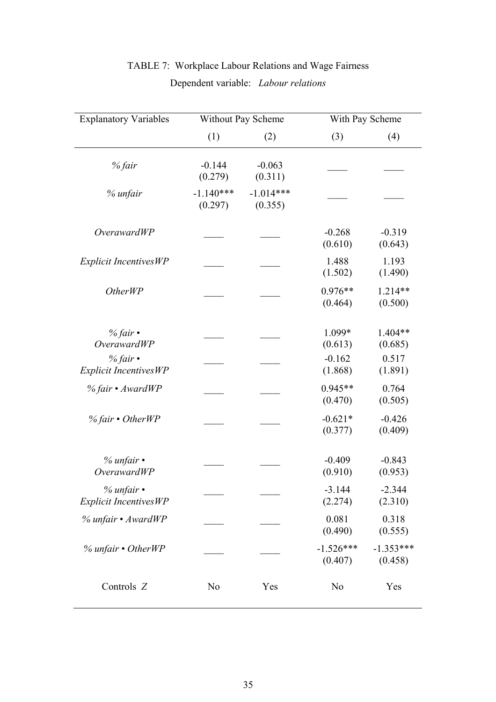| <b>Explanatory Variables</b>                   | Without Pay Scheme     |                        |                        | With Pay Scheme        |  |
|------------------------------------------------|------------------------|------------------------|------------------------|------------------------|--|
|                                                | (1)                    | (2)                    | (3)                    | (4)                    |  |
| % fair                                         | $-0.144$<br>(0.279)    | $-0.063$<br>(0.311)    |                        |                        |  |
| % unfair                                       | $-1.140***$<br>(0.297) | $-1.014***$<br>(0.355) |                        |                        |  |
| <i>OverawardWP</i>                             |                        |                        | $-0.268$<br>(0.610)    | $-0.319$<br>(0.643)    |  |
| <b>Explicit IncentivesWP</b>                   |                        |                        | 1.488<br>(1.502)       | 1.193<br>(1.490)       |  |
| <i>OtherWP</i>                                 |                        |                        | $0.976**$<br>(0.464)   | 1.214**<br>(0.500)     |  |
| % fair $\cdot$<br><b>OverawardWP</b>           |                        |                        | 1.099*<br>(0.613)      | 1.404**<br>(0.685)     |  |
| % fair $\cdot$<br><b>Explicit IncentivesWP</b> |                        |                        | $-0.162$<br>(1.868)    | 0.517<br>(1.891)       |  |
| % fair • AwardWP                               |                        |                        | $0.945**$<br>(0.470)   | 0.764<br>(0.505)       |  |
| $%$ fair • OtherWP                             |                        |                        | $-0.621*$<br>(0.377)   | $-0.426$<br>(0.409)    |  |
| $%$ unfair $\cdot$<br><b>OverawardWP</b>       |                        |                        | $-0.409$<br>(0.910)    | $-0.843$<br>(0.953)    |  |
| $%$ unfair $\cdot$<br>Explicit IncentivesWP    |                        |                        | $-3.144$<br>(2.274)    | $-2.344$<br>(2.310)    |  |
| % unfair • AwardWP                             |                        |                        | 0.081<br>(0.490)       | 0.318<br>(0.555)       |  |
| $%$ unfair • OtherWP                           |                        |                        | $-1.526***$<br>(0.407) | $-1.353***$<br>(0.458) |  |
| Controls Z                                     | N <sub>0</sub>         | Yes                    | N <sub>0</sub>         | Yes                    |  |

# TABLE 7: Workplace Labour Relations and Wage Fairness Dependent variable: *Labour relations*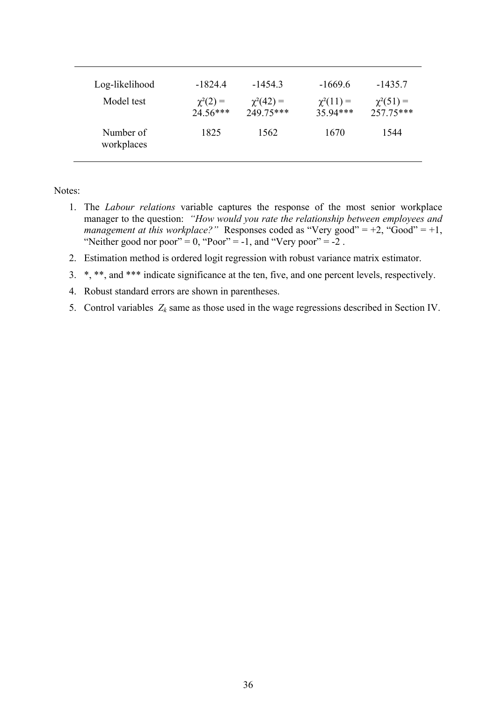| Log-likelihood<br>Model test | -18244<br>$\chi^2(2) =$<br>$24.56***$ | $-14543$<br>$\chi^2(42) =$<br>249 75*** | $-1669.6$<br>$\chi^2(11) =$<br>35 94*** | $-1435.7$<br>$\chi^2(51) =$<br>257.75*** |
|------------------------------|---------------------------------------|-----------------------------------------|-----------------------------------------|------------------------------------------|
| Number of<br>workplaces      | 1825                                  | 1562                                    | 1670                                    | 1544                                     |

Notes:

- 1. The *Labour relations* variable captures the response of the most senior workplace manager to the question: *"How would you rate the relationship between employees and management at this workplace?"* Responses coded as "Very good" = +2, "Good" = +1, "Neither good nor poor" =  $0$ , "Poor" =  $-1$ , and "Very poor" =  $-2$ .
- 2. Estimation method is ordered logit regression with robust variance matrix estimator.
- 3. \*, \*\*, and \*\*\* indicate significance at the ten, five, and one percent levels, respectively.
- 4. Robust standard errors are shown in parentheses.
- 5. Control variables  $Z_k$  same as those used in the wage regressions described in Section IV.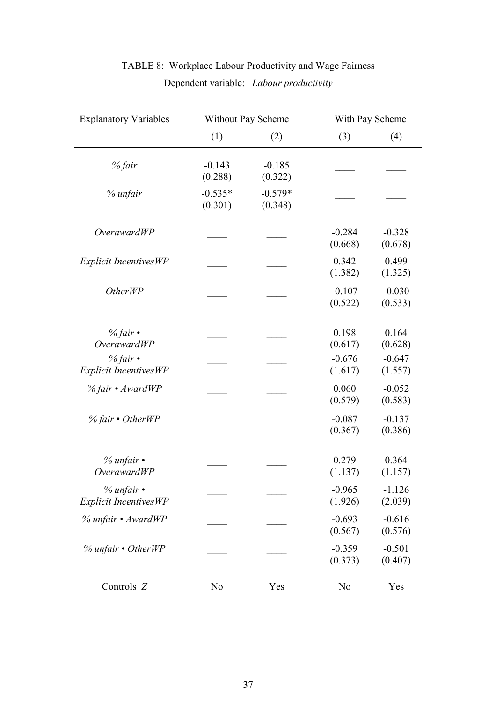| <b>Explanatory Variables</b>                       |                      | Without Pay Scheme   |                     | With Pay Scheme     |
|----------------------------------------------------|----------------------|----------------------|---------------------|---------------------|
|                                                    | (1)                  | (2)                  | (3)                 | (4)                 |
| % fair                                             | $-0.143$<br>(0.288)  | $-0.185$<br>(0.322)  |                     |                     |
| % unfair                                           | $-0.535*$<br>(0.301) | $-0.579*$<br>(0.348) |                     |                     |
| <i>OverawardWP</i>                                 |                      |                      | $-0.284$<br>(0.668) | $-0.328$<br>(0.678) |
| <b>Explicit IncentivesWP</b>                       |                      |                      | 0.342<br>(1.382)    | 0.499<br>(1.325)    |
| <i>OtherWP</i>                                     |                      |                      | $-0.107$<br>(0.522) | $-0.030$<br>(0.533) |
| $%$ fair•<br><b>OverawardWP</b>                    |                      |                      | 0.198<br>(0.617)    | 0.164<br>(0.628)    |
| % fair $\cdot$<br><b>Explicit IncentivesWP</b>     |                      |                      | $-0.676$<br>(1.617) | $-0.647$<br>(1.557) |
| % fair • AwardWP                                   |                      |                      | 0.060<br>(0.579)    | $-0.052$<br>(0.583) |
| $%$ fair • OtherWP                                 |                      |                      | $-0.087$<br>(0.367) | $-0.137$<br>(0.386) |
| $%$ unfair $\cdot$<br><b>OverawardWP</b>           |                      |                      | 0.279<br>(1.137)    | 0.364<br>(1.157)    |
| $%$ unfair $\cdot$<br><b>Explicit IncentivesWP</b> |                      |                      | $-0.965$<br>(1.926) | $-1.126$<br>(2.039) |
| % unfair • AwardWP                                 |                      |                      | $-0.693$<br>(0.567) | $-0.616$<br>(0.576) |
| $%$ unfair $\cdot$ OtherWP                         |                      |                      | $-0.359$<br>(0.373) | $-0.501$<br>(0.407) |
| Controls Z                                         | N <sub>o</sub>       | Yes                  | N <sub>0</sub>      | Yes                 |

# TABLE 8: Workplace Labour Productivity and Wage Fairness Dependent variable: *Labour productivity*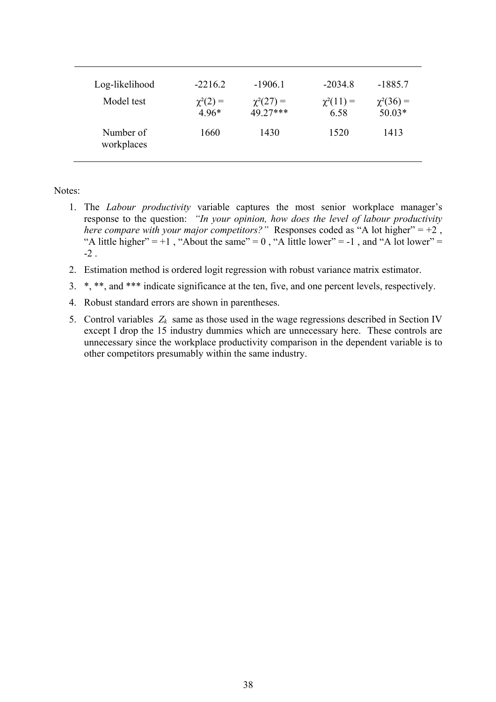| Log-likelihood<br>Model test | $-2216.2$<br>$\chi^2(2) =$<br>$496*$ | $-1906.1$<br>$\chi^2(27) =$<br>49 27*** | $-2034.8$<br>$\chi^2(11) =$<br>6.58 | $-1885.7$<br>$\chi^2(36) =$<br>$50.03*$ |
|------------------------------|--------------------------------------|-----------------------------------------|-------------------------------------|-----------------------------------------|
| Number of<br>workplaces      | 1660                                 | 1430                                    | 1520                                | 1413                                    |

Notes:

- 1. The *Labour productivity* variable captures the most senior workplace manager's response to the question: *"In your opinion, how does the level of labour productivity here compare with your major competitors?"* Responses coded as "A lot higher" =  $+2$ , "A little higher" =  $+1$ , "About the same" = 0, "A little lower" =  $-1$ , and "A lot lower" =  $-2$
- 2. Estimation method is ordered logit regression with robust variance matrix estimator.
- 3. \*, \*\*, and \*\*\* indicate significance at the ten, five, and one percent levels, respectively.
- 4. Robust standard errors are shown in parentheses.
- 5. Control variables  $Z_k$  same as those used in the wage regressions described in Section IV except I drop the 15 industry dummies which are unnecessary here. These controls are unnecessary since the workplace productivity comparison in the dependent variable is to other competitors presumably within the same industry.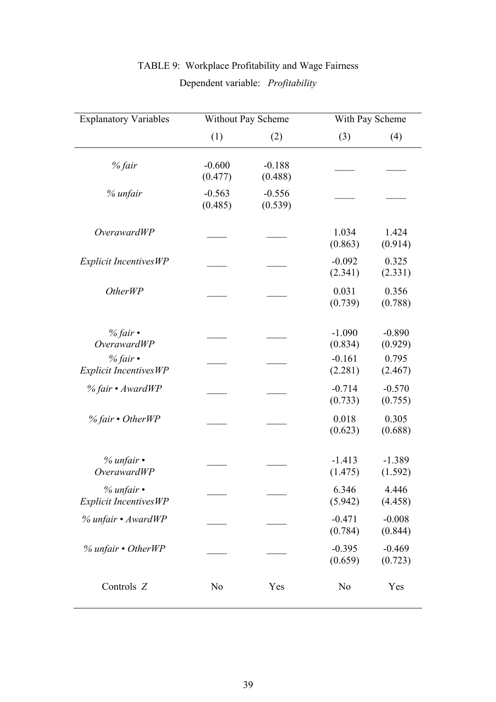| <b>Explanatory Variables</b>                       | Without Pay Scheme  |                     | With Pay Scheme     |                     |
|----------------------------------------------------|---------------------|---------------------|---------------------|---------------------|
|                                                    | (1)                 | (2)                 | (3)                 | (4)                 |
| % fair                                             | $-0.600$<br>(0.477) | $-0.188$<br>(0.488) |                     |                     |
| % unfair                                           | $-0.563$<br>(0.485) | $-0.556$<br>(0.539) |                     |                     |
| <i>OverawardWP</i>                                 |                     |                     | 1.034<br>(0.863)    | 1.424<br>(0.914)    |
| <b>Explicit IncentivesWP</b>                       |                     |                     | $-0.092$<br>(2.341) | 0.325<br>(2.331)    |
| Other <sub>WP</sub>                                |                     |                     | 0.031<br>(0.739)    | 0.356<br>(0.788)    |
| % fair $\cdot$<br><b>OverawardWP</b>               |                     |                     | $-1.090$<br>(0.834) | $-0.890$<br>(0.929) |
| $%$ fair•<br><b>Explicit IncentivesWP</b>          |                     |                     | $-0.161$<br>(2.281) | 0.795<br>(2.467)    |
| % fair • AwardWP                                   |                     |                     | $-0.714$<br>(0.733) | $-0.570$<br>(0.755) |
| $%$ fair • OtherWP                                 |                     |                     | 0.018<br>(0.623)    | 0.305<br>(0.688)    |
| $%$ unfair $\cdot$<br><i>OverawardWP</i>           |                     |                     | $-1.413$<br>(1.475) | $-1.389$<br>(1.592) |
| $%$ unfair $\cdot$<br><b>Explicit IncentivesWP</b> |                     |                     | 6.346<br>(5.942)    | 4.446<br>(4.458)    |
| % unfair • AwardWP                                 |                     |                     | $-0.471$<br>(0.784) | $-0.008$<br>(0.844) |
| % unfair • OtherWP                                 |                     |                     | $-0.395$<br>(0.659) | $-0.469$<br>(0.723) |
| Controls Z                                         | N <sub>o</sub>      | Yes                 | N <sub>0</sub>      | Yes                 |

# TABLE 9: Workplace Profitability and Wage Fairness Dependent variable: *Profitability*